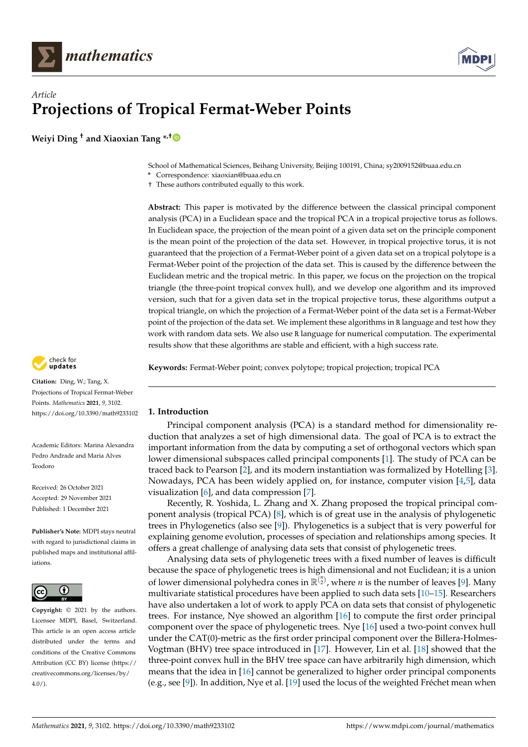



# *Article* **Projections of Tropical Fermat-Weber Points**

**Weiyi Ding † and Xiaoxian Tang \*,[†](https://orcid.org/0000-0002-9873-7056)**

School of Mathematical Sciences, Beihang University, Beijing 100191, China; sy2009152@buaa.edu.cn

**\*** Correspondence: xiaoxian@buaa.edu.cn

† These authors contributed equally to this work.

**Abstract:** This paper is motivated by the difference between the classical principal component analysis (PCA) in a Euclidean space and the tropical PCA in a tropical projective torus as follows. In Euclidean space, the projection of the mean point of a given data set on the principle component is the mean point of the projection of the data set. However, in tropical projective torus, it is not guaranteed that the projection of a Fermat-Weber point of a given data set on a tropical polytope is a Fermat-Weber point of the projection of the data set. This is caused by the difference between the Euclidean metric and the tropical metric. In this paper, we focus on the projection on the tropical triangle (the three-point tropical convex hull), and we develop one algorithm and its improved version, such that for a given data set in the tropical projective torus, these algorithms output a tropical triangle, on which the projection of a Fermat-Weber point of the data set is a Fermat-Weber point of the projection of the data set. We implement these algorithms in R language and test how they work with random data sets. We also use R language for numerical computation. The experimental results show that these algorithms are stable and efficient, with a high success rate.

**Keywords:** Fermat-Weber point; convex polytope; tropical projection; tropical PCA

## <span id="page-0-0"></span>**1. Introduction**

Principal component analysis (PCA) is a standard method for dimensionality reduction that analyzes a set of high dimensional data. The goal of PCA is to extract the important information from the data by computing a set of orthogonal vectors which span lower dimensional subspaces called principal components [\[1\]](#page-21-0). The study of PCA can be traced back to Pearson [\[2\]](#page-21-1), and its modern instantiation was formalized by Hotelling [\[3\]](#page-21-2). Nowadays, PCA has been widely applied on, for instance, computer vision [\[4](#page-21-3)[,5\]](#page-21-4), data visualization  $[6]$ , and data compression  $[7]$ .

Recently, R. Yoshida, L. Zhang and X. Zhang proposed the tropical principal component analysis (tropical PCA) [\[8\]](#page-21-7), which is of great use in the analysis of phylogenetic trees in Phylogenetics (also see [\[9\]](#page-21-8)). Phylogenetics is a subject that is very powerful for explaining genome evolution, processes of speciation and relationships among species. It offers a great challenge of analysing data sets that consist of phylogenetic trees.

Analysing data sets of phylogenetic trees with a fixed number of leaves is difficult because the space of phylogenetic trees is high dimensional and not Euclidean; it is a union of lower dimensional polyhedra cones in  $\mathbb{R}^{n \choose 2}$ , where *n* is the number of leaves [\[9\]](#page-21-8). Many multivariate statistical procedures have been applied to such data sets [\[10](#page-21-9)[–15\]](#page-21-10). Researchers have also undertaken a lot of work to apply PCA on data sets that consist of phylogenetic trees. For instance, Nye showed an algorithm [\[16\]](#page-21-11) to compute the first order principal component over the space of phylogenetic trees. Nye [\[16\]](#page-21-11) used a two-point convex hull under the CAT(0)-metric as the first order principal component over the Billera-Holmes-Vogtman (BHV) tree space introduced in [\[17\]](#page-21-12). However, Lin et al. [\[18\]](#page-21-13) showed that the three-point convex hull in the BHV tree space can have arbitrarily high dimension, which means that the idea in [\[16\]](#page-21-11) cannot be generalized to higher order principal components (e.g., see [\[9\]](#page-21-8)). In addition, Nye et al. [\[19\]](#page-21-14) used the locus of the weighted Fréchet mean when



**Citation:** Ding, W.; Tang, X. Projections of Tropical Fermat-Weber Points. *Mathematics* **2021**, *9*, 3102. <https://doi.org/10.3390/math9233102>

Academic Editors: Marina Alexandra Pedro Andrade and Maria Alves Teodoro

Received: 26 October 2021 Accepted: 29 November 2021 Published: 1 December 2021

**Publisher's Note:** MDPI stays neutral with regard to jurisdictional claims in published maps and institutional affiliations.



**Copyright:** © 2021 by the authors. Licensee MDPI, Basel, Switzerland. This article is an open access article distributed under the terms and conditions of the Creative Commons Attribution (CC BY) license (https:/[/](https://creativecommons.org/licenses/by/4.0/) [creativecommons.org/licenses/by/](https://creativecommons.org/licenses/by/4.0/)  $4.0/$ ).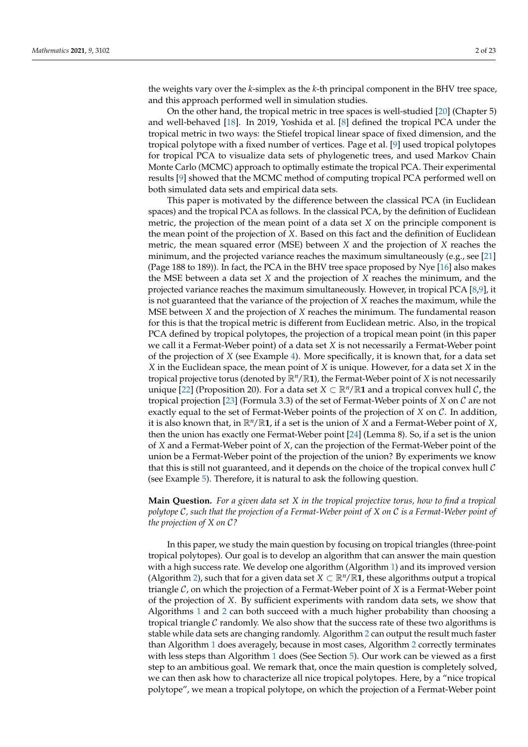the weights vary over the *k*-simplex as the *k*-th principal component in the BHV tree space, and this approach performed well in simulation studies.

On the other hand, the tropical metric in tree spaces is well-studied [\[20\]](#page-21-15) (Chapter 5) and well-behaved [\[18\]](#page-21-13). In 2019, Yoshida et al. [\[8\]](#page-21-7) defined the tropical PCA under the tropical metric in two ways: the Stiefel tropical linear space of fixed dimension, and the tropical polytope with a fixed number of vertices. Page et al. [\[9\]](#page-21-8) used tropical polytopes for tropical PCA to visualize data sets of phylogenetic trees, and used Markov Chain Monte Carlo (MCMC) approach to optimally estimate the tropical PCA. Their experimental results [\[9\]](#page-21-8) showed that the MCMC method of computing tropical PCA performed well on both simulated data sets and empirical data sets.

This paper is motivated by the difference between the classical PCA (in Euclidean spaces) and the tropical PCA as follows. In the classical PCA, by the definition of Euclidean metric, the projection of the mean point of a data set *X* on the principle component is the mean point of the projection of *X*. Based on this fact and the definition of Euclidean metric, the mean squared error (MSE) between *X* and the projection of *X* reaches the minimum, and the projected variance reaches the maximum simultaneously (e.g., see [\[21\]](#page-22-0) (Page 188 to 189)). In fact, the PCA in the BHV tree space proposed by Nye [\[16\]](#page-21-11) also makes the MSE between a data set *X* and the projection of *X* reaches the minimum, and the projected variance reaches the maximum simultaneously. However, in tropical PCA [\[8,](#page-21-7)[9\]](#page-21-8), it is not guaranteed that the variance of the projection of *X* reaches the maximum, while the MSE between *X* and the projection of *X* reaches the minimum. The fundamental reason for this is that the tropical metric is different from Euclidean metric. Also, in the tropical PCA defined by tropical polytopes, the projection of a tropical mean point (in this paper we call it a Fermat-Weber point) of a data set *X* is not necessarily a Fermat-Weber point of the projection of *X* (see Example [4\)](#page-6-0). More specifically, it is known that, for a data set *X* in the Euclidean space, the mean point of *X* is unique. However, for a data set *X* in the tropical projective torus (denoted by  $\mathbb{R}^n/\mathbb{R}$ **1**), the Fermat-Weber point of *X* is not necessarily unique [\[22\]](#page-22-1) (Proposition 20). For a data set  $X \subset \mathbb{R}^n/\mathbb{R}$ 1 and a tropical convex hull C, the tropical projection [\[23\]](#page-22-2) (Formula 3.3) of the set of Fermat-Weber points of *X* on C are not exactly equal to the set of Fermat-Weber points of the projection of *X* on C. In addition, it is also known that, in R*n*/R**1**, if a set is the union of *X* and a Fermat-Weber point of *X*, then the union has exactly one Fermat-Weber point [\[24\]](#page-22-3) (Lemma 8). So, if a set is the union of *X* and a Fermat-Weber point of *X*, can the projection of the Fermat-Weber point of the union be a Fermat-Weber point of the projection of the union? By experiments we know that this is still not guaranteed, and it depends on the choice of the tropical convex hull  $\mathcal C$ (see Example [5\)](#page-7-0). Therefore, it is natural to ask the following question.

# **Main Question.** *For a given data set X in the tropical projective torus, how to find a tropical polytope* C*, such that the projection of a Fermat-Weber point of X on* C *is a Fermat-Weber point of the projection of X on* C*?*

In this paper, we study the main question by focusing on tropical triangles (three-point tropical polytopes). Our goal is to develop an algorithm that can answer the main question with a high success rate. We develop one algorithm (Algorithm [1\)](#page-2-0) and its improved version (Algorithm [2\)](#page-3-0), such that for a given data set  $X \subset \mathbb{R}^n / \mathbb{R}$ 1, these algorithms output a tropical triangle C, on which the projection of a Fermat-Weber point of *X* is a Fermat-Weber point of the projection of *X*. By sufficient experiments with random data sets, we show that Algorithms [1](#page-2-0) and [2](#page-3-0) can both succeed with a much higher probability than choosing a tropical triangle  $\mathcal C$  randomly. We also show that the success rate of these two algorithms is stable while data sets are changing randomly. Algorithm [2](#page-3-0) can output the result much faster than Algorithm [1](#page-2-0) does averagely, because in most cases, Algorithm [2](#page-3-0) correctly terminates with less steps than Algorithm [1](#page-2-0) does (See Section  $5$ ). Our work can be viewed as a first step to an ambitious goal. We remark that, once the main question is completely solved, we can then ask how to characterize all nice tropical polytopes. Here, by a "nice tropical polytope", we mean a tropical polytope, on which the projection of a Fermat-Weber point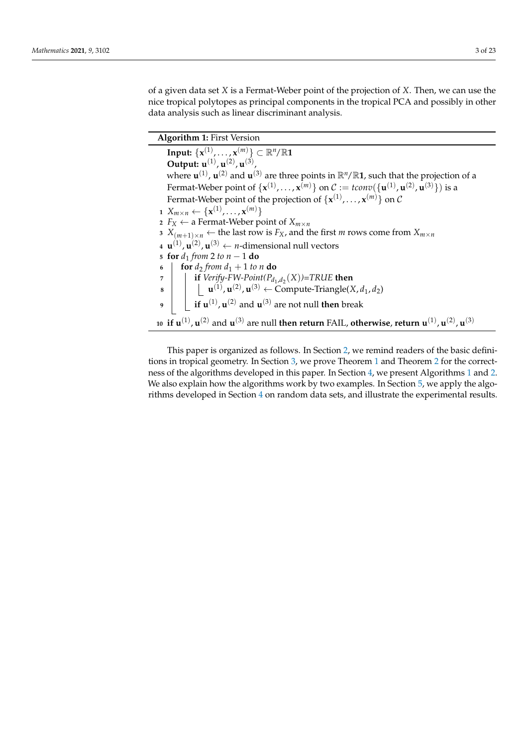of a given data set *X* is a Fermat-Weber point of the projection of *X*. Then, we can use the nice tropical polytopes as principal components in the tropical PCA and possibly in other data analysis such as linear discriminant analysis.

**Algorithm 1:** First Version

<span id="page-2-1"></span><span id="page-2-0"></span> $\textbf{Input: } \{ \mathbf{x}^{(1)}, \ldots, \mathbf{x}^{(m)} \} \subset \mathbb{R}^n/\mathbb{R} \mathbf{1}$ **Output: u**<sup>(1)</sup>, **u**<sup>(2)</sup>, **u**<sup>(3)</sup>, where  $\mathbf{u}^{(1)}$ ,  $\mathbf{u}^{(2)}$  and  $\mathbf{u}^{(3)}$  are three points in  $\mathbb{R}^n/\mathbb{R}$ 1, such that the projection of a Fermat-Weber point of  $\{\mathbf{x}^{(1)},\ldots,\mathbf{x}^{(m)}\}$  on  $\mathcal{C}:=\mathit{tconv}(\{\mathbf{u}^{(1)},\mathbf{u}^{(2)},\mathbf{u}^{(3)}\})$  is a Fermat-Weber point of the projection of  $\{ {\bf x}^{(1)},\ldots, {\bf x}^{(m)} \}$  on  $\cal C$ **1**  $X_{m \times n} \leftarrow {\mathbf{x}^{(1)}, \dots, \mathbf{x}^{(m)}}$ 2  $F_X \leftarrow$  a Fermat-Weber point of  $X_{m \times n}$ **3**  $X$ <sub>(*m*+1)×*n*</sub> ← the last row is  $F_X$ , and the first *m* rows come from  $X$ <sup>*m*×*n*</sub></sup>  $\mathbf{u}^{(1)}$ ,  $\mathbf{u}^{(2)}$ ,  $\mathbf{u}^{(3)} \leftarrow n$ -dimensional null vectors **<sup>5</sup> for** *d*<sup>1</sup> *from* 2 *to n* − 1 **do 6 for**  $d_2$  *from*  $d_1 + 1$  *to n* **do** *7* **d if**  $Verify-FW-Point(P_{d_1,d_2}(X))=TRUE$  then  $\mathbf{u}$  **u**<sup>(1)</sup>,  $\mathbf{u}^{(2)}$ ,  $\mathbf{u}^{(3)}$   $\leftarrow$  Compute-Triangle(*X*, *d*<sub>1</sub>, *d*<sub>2</sub>)  $\mathbf{p}$  **if**  $\mathbf{u}^{(1)}$ **,**  $\mathbf{u}^{(2)}$  **and**  $\mathbf{u}^{(3)}$  **are not null <b>then** break  $\mathbf{u}^{(1)}$  ,  $\mathbf{u}^{(2)}$  and  $\mathbf{u}^{(3)}$  are null **then return** FAIL, otherwise, return  $\mathbf{u}^{(1)}$ ,  $\mathbf{u}^{(2)}$ ,  $\mathbf{u}^{(3)}$ 

This paper is organized as follows. In Section [2,](#page-3-1) we remind readers of the basic definitions in tropical geometry. In Section [3,](#page-8-0) we prove Theorem [1](#page-10-0) and Theorem [2](#page-10-1) for the correctness of the algorithms developed in this paper. In Section [4,](#page-11-0) we present Algorithms [1](#page-2-0) and [2.](#page-3-0) We also explain how the algorithms work by two examples. In Section [5,](#page-17-0) we apply the algorithms developed in Section [4](#page-11-0) on random data sets, and illustrate the experimental results.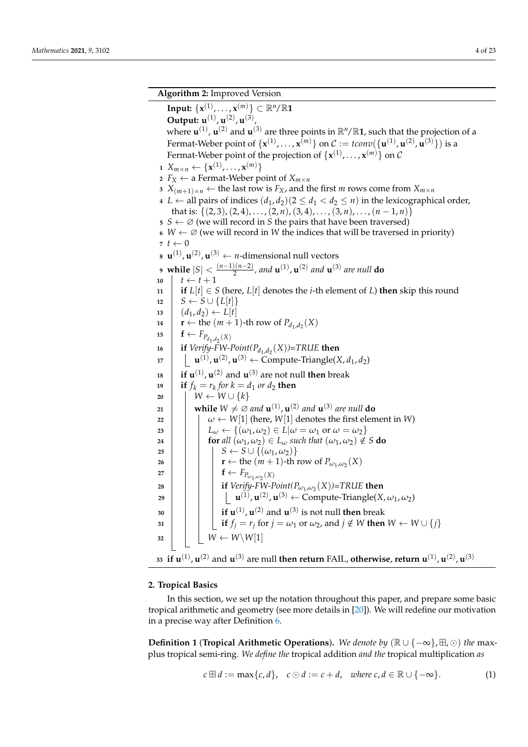<span id="page-3-4"></span><span id="page-3-2"></span><span id="page-3-0"></span>**Algorithm 2:** Improved Version  $\textbf{Input: } \{\mathbf{x}^{(1)}, \ldots, \mathbf{x}^{(m)}\} \subset \mathbb{R}^n/\mathbb{R}$ **Output: u**<sup>(1)</sup>, **u**<sup>(2)</sup>, **u**<sup>(3)</sup>, where  $\mathbf{u}^{(1)}$ ,  $\mathbf{u}^{(2)}$  and  $\mathbf{u}^{(3)}$  are three points in  $\mathbb{R}^n/\mathbb{R}$ 1, such that the projection of a Fermat-Weber point of  $\{\mathbf{x}^{(1)},\ldots,\mathbf{x}^{(m)}\}$  on  $\mathcal{C}:=\mathit{tconv}(\{\mathbf{u}^{(1)},\mathbf{u}^{(2)},\mathbf{u}^{(3)}\})$  is a Fermat-Weber point of the projection of  $\{\mathbf{x}^{(1)},\ldots,\mathbf{x}^{(m)}\}$  on  $\mathcal C$   $X_{m \times n} \leftarrow {\mathbf{x}^{(1)}, \dots, \mathbf{x}^{(m)}}$  $F_X \leftarrow$  a Fermat-Weber point of  $X_{m \times n}$   $X$ <sub>(*m*+1)×*n*</sub> ← the last row is  $F_X$ , and the first *m* rows come from  $X_{m \times n}$  *L* ← all pairs of indices  $(d_1, d_2)$  ( $2 \le d_1 < d_2 \le n$ ) in the lexicographical order, that is:  $\{(2, 3), (2, 4), \ldots, (2, n), (3, 4), \ldots, (3, n), \ldots, (n-1, n)\}\$   $S \leftarrow \emptyset$  (we will record in *S* the pairs that have been traversed)  $W \leftarrow \emptyset$  (we will record in W the indices that will be traversed in priority)  $\tau$  *t*  $\leftarrow$  0  $\mathbf{u}^{(1)}$ ,  $\mathbf{u}^{(2)}$ ,  $\mathbf{u}^{(3)} \leftarrow n$ -dimensional null vectors **while** |*S*| < (*n*−1)(*n*−2)  $\frac{2(n-2)}{2}$ , and **u**<sup>(1)</sup>, **u**<sup>(2)</sup> and **u**<sup>(3)</sup> are null **do**  $t \leftarrow t + 1$  **if**  $L[t] \in S$  (here,  $L[t]$  denotes the *i*-th element of *L*) **then** skip this round  $S \leftarrow S \cup \{L[t]\}$  $13 \mid (d_1, d_2) \leftarrow L[t]$  **r** ← the  $(m + 1)$ -th row of  $P_{d_1, d_2}(X)$ **f** ←  $F_{P_{d_1,d_2}(X)}$  **if** *Verify-FW-Point* $(P_{d_1,d_2}(X))$ =TRUE **then**  $\mathbf{u}^{(1)}$ ,  $\mathbf{u}^{(2)}$ ,  $\mathbf{u}^{(3)}$   $\leftarrow$  Compute-Triangle(*X*, *d*<sub>1</sub>, *d*<sub>2</sub>) **if**  $\mathbf{u}^{(1)}$ **,**  $\mathbf{u}^{(2)}$  **and**  $\mathbf{u}^{(3)}$  **are not null <b>then** break **if**  $f_k = r_k$  *for*  $k = d_1$  *or*  $d_2$  **then**   $\vert W \leftarrow W \cup \{k\}$  **while**  $W \neq \emptyset$  and  $\mathbf{u}^{(1)}$ ,  $\mathbf{u}^{(2)}$  and  $\mathbf{u}^{(3)}$  are null do  $\vert$   $\vert$   $\vert \omega \leftarrow W[1]$  (here,  $W[1]$  denotes the first element in *W*) *L<sup>ω</sup>* ← {(*ω*1, *ω*2) ∈ *L*|*ω* = *ω*<sup>1</sup> or *ω* = *ω*2} **for** all  $(\omega_1, \omega_2) \in L_\omega$  *such that*  $(\omega_1, \omega_2) \notin S$  **do**   $\vert$   $\vert$   $\vert$   $S \leftarrow S \cup \{(\omega_1, \omega_2)\}\$  **r** ← the  $(m + 1)$ -th row of  $P_{\omega_1,\omega_2}(X)$  **f**  $\leftarrow$   $F_{P_{\omega_1,\omega_2}(X)}$  **i if**  $Verify\text{-}FW\text{-}Point(P_{\omega_1,\omega_2}(X))\text{=}TRUE$  **then**  $\mathbf{u}^{(1)}$  ,  $\mathbf{u}^{(2)}$  ,  $\mathbf{u}^{(3)}$   $\leftarrow$  Compute-Triangle(*X*,  $\omega_1$ ,  $\omega_2$ )  $\mathbf{a}_0$   $\begin{array}{|c|c|c|c|}\n\hline\n\mathbf{i} & \mathbf{j} & \mathbf{k} & \mathbf{u}^{(1)}, \mathbf{u}^{(2)} & \text{and} & \mathbf{u}^{(3)} & \text{is not null then break}\n\hline\n\end{array}$   $\vert$  **if**  $f_j = r_j$  for  $j = \omega_1$  or  $\omega_2$ , and  $j \notin W$  then  $W \leftarrow W \cup \{j\}$  $32 \mid W \leftarrow W \setminus W[1]$  $\bf{u}$  if  $\bf{u}^{(1)}$ ,  $\bf{u}^{(2)}$  and  $\bf{u}^{(3)}$  are null **then return** FAIL, otherwise, return  $\bf{u}^{(1)}$ ,  $\bf{u}^{(2)}$ ,  $\bf{u}^{(3)}$ 

## <span id="page-3-3"></span><span id="page-3-1"></span>**2. Tropical Basics**

In this section, we set up the notation throughout this paper, and prepare some basic tropical arithmetic and geometry (see more details in [\[20\]](#page-21-15)). We will redefine our motivation in a precise way after Definition [6.](#page-5-0)

**Definition 1 (Tropical Arithmetic Operations).** *We denote by* ( $\mathbb{R} \cup \{-\infty\}$ ,  $\boxplus$ ,  $\odot$ ) *the* maxplus tropical semi-ring*. We define the* tropical addition *and the* tropical multiplication *as*

$$
c \boxplus d := \max\{c, d\}, \quad c \odot d := c + d, \quad \text{where } c, d \in \mathbb{R} \cup \{-\infty\}. \tag{1}
$$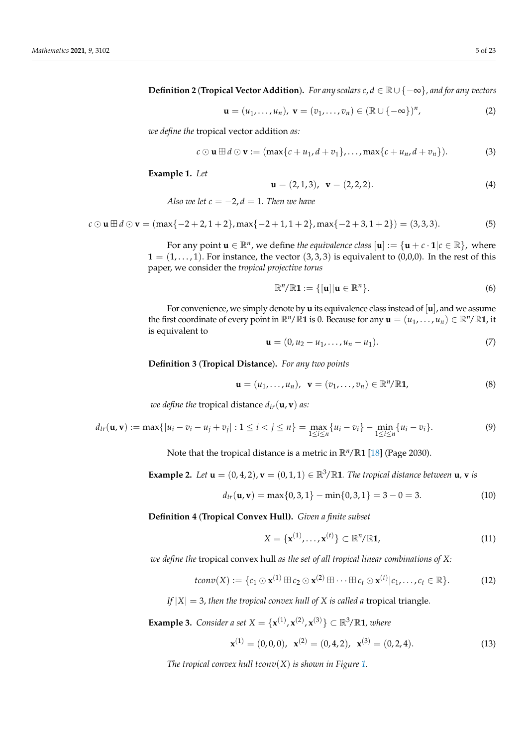**Definition 2** (**Tropical Vector Addition**)**.** *For any scalars c*, *d* ∈ R ∪ {−∞}*, and for any vectors*

$$
\mathbf{u} = (u_1, \dots, u_n), \mathbf{v} = (v_1, \dots, v_n) \in (\mathbb{R} \cup \{-\infty\})^n,
$$
 (2)

*we define the* tropical vector addition *as:*

$$
c \odot \mathbf{u} \boxplus d \odot \mathbf{v} := (\max\{c + u_1, d + v_1\}, \ldots, \max\{c + u_n, d + v_n\}).
$$
 (3)

**Example 1.** *Let*

$$
\mathbf{u} = (2, 1, 3), \quad \mathbf{v} = (2, 2, 2). \tag{4}
$$

*Also we let*  $c = -2$ ,  $d = 1$ . Then we have

 $c \odot$  **u**  $\boxplus$   $d \odot$  **v** = (max{−2 + 2, 1 + 2}, max{−2 + 1, 1 + 2}, max{−2 + 3, 1 + 2}) = (3,3,3). (5)

For any point  $\mathbf{u} \in \mathbb{R}^n$ , we define *the equivalence class*  $[\mathbf{u}] := {\mathbf{u} + c \cdot \mathbf{1} | c \in \mathbb{R}}$ , where  $\mathbf{1} = (1, \ldots, 1)$ . For instance, the vector  $(3, 3, 3)$  is equivalent to  $(0,0,0)$ . In the rest of this paper, we consider the *tropical projective torus*

$$
\mathbb{R}^n/\mathbb{R}\mathbf{1} := \{[\mathbf{u}]|\mathbf{u} \in \mathbb{R}^n\}.
$$
 (6)

For convenience, we simply denote by **u** its equivalence class instead of [**u**], and we assume the first coordinate of every point in  $\mathbb{R}^n/\mathbb{R}$ **1** is 0. Because for any  $\mathbf{u} = (u_1, \dots, u_n) \in \mathbb{R}^n/\mathbb{R}$ **1**, it is equivalent to

$$
\mathbf{u} = (0, u_2 - u_1, \dots, u_n - u_1). \tag{7}
$$

**Definition 3** (**Tropical Distance**)**.** *For any two points*

$$
\mathbf{u} = (u_1, \dots, u_n), \ \mathbf{v} = (v_1, \dots, v_n) \in \mathbb{R}^n / \mathbb{R} \mathbf{1}, \tag{8}
$$

*we define the tropical distance*  $d_{tr}(\mathbf{u}, \mathbf{v})$  *as:* 

$$
d_{tr}(\mathbf{u}, \mathbf{v}) := \max\{|u_i - v_i - u_j + v_j| : 1 \le i < j \le n\} = \max_{1 \le i \le n} \{u_i - v_i\} - \min_{1 \le i \le n} \{u_i - v_i\}.
$$
 (9)

Note that the tropical distance is a metric in  $\mathbb{R}^n/\mathbb{R}$ **1** [\[18\]](#page-21-13) (Page 2030).

**Example 2.** *Let*  $\mathbf{u} = (0, 4, 2)$ ,  $\mathbf{v} = (0, 1, 1) \in \mathbb{R}^3/\mathbb{R}$ 1. The tropical distance between  $\mathbf{u}$ ,  $\mathbf{v}$  *is* 

$$
d_{tr}(\mathbf{u}, \mathbf{v}) = \max\{0, 3, 1\} - \min\{0, 3, 1\} = 3 - 0 = 3. \tag{10}
$$

**Definition 4** (**Tropical Convex Hull).** *Given a finite subset*

$$
X = \{ \mathbf{x}^{(1)}, \dots, \mathbf{x}^{(t)} \} \subset \mathbb{R}^n / \mathbb{R} \mathbf{1},\tag{11}
$$

*we define the* tropical convex hull *as the set of all tropical linear combinations of X:*

$$
tconv(X) := \{c_1 \odot \mathbf{x}^{(1)} \boxplus c_2 \odot \mathbf{x}^{(2)} \boxplus \cdots \boxplus c_t \odot \mathbf{x}^{(t)} | c_1, \ldots, c_t \in \mathbb{R} \}.
$$
 (12)

*If*  $|X| = 3$ , *then the tropical convex hull of X is called a tropical triangle.* 

**Example 3.** *Consider a set X* = {**} ⊂**  $\mathbb{R}^3/\mathbb{R}$ **<b>1***, where* 

$$
\mathbf{x}^{(1)} = (0,0,0), \ \mathbf{x}^{(2)} = (0,4,2), \ \mathbf{x}^{(3)} = (0,2,4). \tag{13}
$$

*The tropical convex hull tconv*(*X*) *is shown in Figure [1.](#page-5-1)*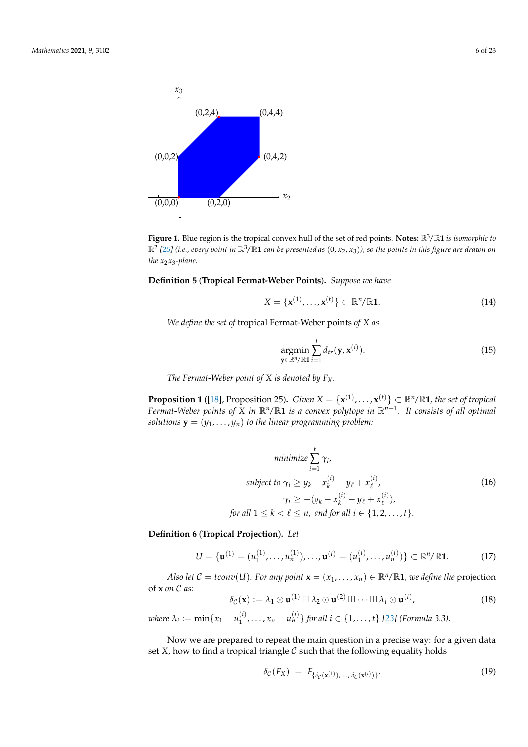<span id="page-5-1"></span>

**Figure 1.** Blue region is the tropical convex hull of the set of red points. **Notes:** R3/R**1** *is isomorphic to* R2 *[\[25\]](#page-22-4) (i.e., every point in* R3/R**<sup>1</sup>** *can be presented as* (0, *<sup>x</sup>*2, *<sup>x</sup>*3)*), so the points in this figure are drawn on the x*<sub>2</sub>*x*<sub>3</sub>-plane.

<span id="page-5-6"></span>**Definition 5** (**Tropical Fermat-Weber Points**)**.** *Suppose we have*

$$
X = \{ \mathbf{x}^{(1)}, \dots, \mathbf{x}^{(t)} \} \subset \mathbb{R}^n / \mathbb{R} \mathbf{1}.
$$
 (14)

*We define the set of* tropical Fermat-Weber points *of X as*

$$
\underset{\mathbf{y} \in \mathbb{R}^n/\mathbb{R}^1}{\operatorname{argmin}} \sum_{i=1}^t d_{tr}(\mathbf{y}, \mathbf{x}^{(i)}).
$$
\n(15)

*The Fermat-Weber point of X is denoted by FX.*

<span id="page-5-4"></span>**Proposition 1** ([\[18\]](#page-21-13), Proposition 25). *Given*  $X = \{x^{(1)}, \ldots, x^{(t)}\} \subset \mathbb{R}^n / \mathbb{R}$ 1, the set of tropical *Fermat-Weber points of X in* R*n*/R**1** *is a convex polytope in* R*n*−<sup>1</sup> *. It consists of all optimal solutions*  $\mathbf{y} = (y_1, \dots, y_n)$  *to the linear programming problem:* 

$$
\text{minimize } \sum_{i=1}^{t} \gamma_i,
$$
\n
$$
\text{subject to } \gamma_i \ge y_k - x_k^{(i)} - y_\ell + x_\ell^{(i)},
$$
\n
$$
\gamma_i \ge - (y_k - x_k^{(i)} - y_\ell + x_\ell^{(i)}),
$$
\n
$$
\text{for all } 1 \le k < \ell \le n, \text{ and for all } i \in \{1, 2, \dots, t\}.
$$
\n
$$
(16)
$$

<span id="page-5-3"></span><span id="page-5-0"></span>**Definition 6** (**Tropical Projection**)**.** *Let*

$$
U = \{ \mathbf{u}^{(1)} = (u_1^{(1)}, \dots, u_n^{(1)}), \dots, \mathbf{u}^{(t)} = (u_1^{(t)}, \dots, u_n^{(t)}) \} \subset \mathbb{R}^n / \mathbb{R} \mathbf{1}.
$$
 (17)

*Also let*  $C = \text{tconv}(U)$ *. For any point*  $\mathbf{x} = (x_1, \dots, x_n) \in \mathbb{R}^n / \mathbb{R}$ **1***, we define the* projection of **x** *on* C *as:*

<span id="page-5-5"></span>
$$
\delta_{\mathcal{C}}(\mathbf{x}) := \lambda_1 \odot \mathbf{u}^{(1)} \boxplus \lambda_2 \odot \mathbf{u}^{(2)} \boxplus \cdots \boxplus \lambda_t \odot \mathbf{u}^{(t)},
$$
\n(18)

*where*  $\lambda_i := \min\{x_1 - u_1^{(i)}\}$  $\{1, \ldots, x_n - u_n^{(i)}\}$  for all  $i \in \{1, \ldots, t\}$  [\[23\]](#page-22-2) (Formula 3.3).

Now we are prepared to repeat the main question in a precise way: for a given data set  $X$ , how to find a tropical triangle  $C$  such that the following equality holds

<span id="page-5-2"></span>
$$
\delta_{\mathcal{C}}(F_X) = F_{\{\delta_{\mathcal{C}}(\mathbf{x}^{(1)}),\ldots,\delta_{\mathcal{C}}(\mathbf{x}^{(t)})\}}.
$$
\n(19)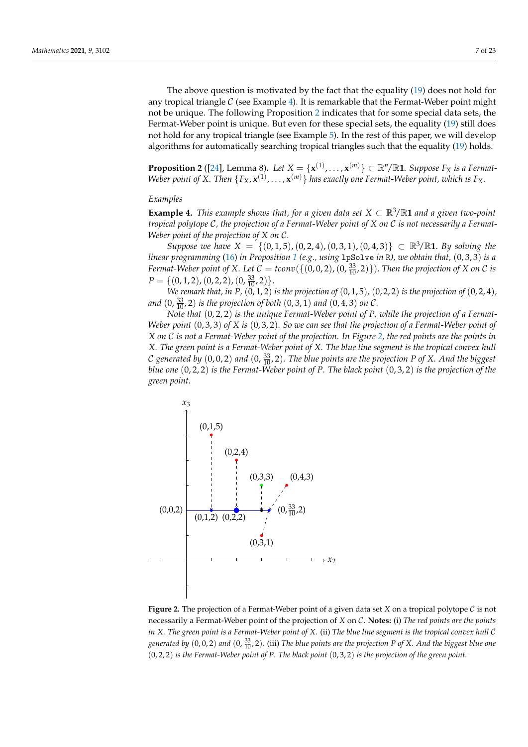The above question is motivated by the fact that the equality [\(19\)](#page-5-2) does not hold for any tropical triangle  $C$  (see Example [4\)](#page-6-0). It is remarkable that the Fermat-Weber point might not be unique. The following Proposition [2](#page-6-1) indicates that for some special data sets, the Fermat-Weber point is unique. But even for these special sets, the equality [\(19\)](#page-5-2) still does not hold for any tropical triangle (see Example [5\)](#page-7-0). In the rest of this paper, we will develop algorithms for automatically searching tropical triangles such that the equality [\(19\)](#page-5-2) holds.

<span id="page-6-1"></span>**Proposition 2** ([\[24\]](#page-22-3), Lemma 8). Let  $X = \{x^{(1)}, ..., x^{(m)}\} \subset \mathbb{R}^n/\mathbb{R}$ 1. Suppose  $F_X$  is a Fermat-Weber point of X. Then  $\{F_X, \mathbf{x}^{(1)}, \ldots, \mathbf{x}^{(m)}\}$  has exactly one Fermat-Weber point, which is  $F_X$ .

#### *Examples*

<span id="page-6-0"></span>**Example 4.** *This example shows that, for a given data set*  $X \subset \mathbb{R}^3/\mathbb{R}$ **1** *and a given two-point tropical polytope* C*, the projection of a Fermat-Weber point of X on* C *is not necessarily a Fermat-Weber point of the projection of X on* C*.*

*Suppose we have X* = {(0, 1, 5), (0, 2, 4), (0, 3, 1), (0, 4, 3)} ⊂  $\mathbb{R}^3/\mathbb{R}$ 1. *By solving the linear programming* [\(16\)](#page-5-3) *in Proposition [1](#page-5-4) (e.g., using* lpSolve *in* R*), we obtain that,* (0, 3, 3) *is a Fermat-Weber point of X. Let*  $C = \text{tconv}(\{(0, 0, 2), (0, \frac{33}{10}, 2)\})$ . *Then the projection of X on C is*  $P = \{(0, 1, 2), (0, 2, 2), (0, \frac{33}{10}, 2)\}.$ 

*We remark that, in P,*  $(0, 1, 2)$  *is the projection of*  $(0, 1, 5)$ *,*  $(0, 2, 2)$  *is the projection of*  $(0, 2, 4)$ *, and*  $(0, \frac{33}{10}, 2)$  *is the projection of both*  $(0, 3, 1)$  *and*  $(0, 4, 3)$  *on* C.

*Note that* (0, 2, 2) *is the unique Fermat-Weber point of P, while the projection of a Fermat-Weber point* (0, 3, 3) *of X is* (0, 3, 2)*. So we can see that the projection of a Fermat-Weber point of X on* C *is not a Fermat-Weber point of the projection. In Figure [2,](#page-6-2) the red points are the points in X. The green point is a Fermat-Weber point of X. The blue line segment is the tropical convex hull* C generated by  $(0,0,2)$  and  $(0,\frac{33}{10},2)$ . The blue points are the projection P of X. And the biggest *blue one* (0, 2, 2) *is the Fermat-Weber point of P. The black point* (0, 3, 2) *is the projection of the green point.*

<span id="page-6-2"></span>

**Figure 2.** The projection of a Fermat-Weber point of a given data set *X* on a tropical polytope C is not necessarily a Fermat-Weber point of the projection of *X* on C. **Notes:** (i) *The red points are the points in X. The green point is a Fermat-Weber point of X.* (ii) *The blue line segment is the tropical convex hull* C *generated by* (0, 0, 2) *and* (0, <sup>33</sup> <sup>10</sup> , 2)*.* (iii) *The blue points are the projection P of X. And the biggest blue one* (0, 2, 2) *is the Fermat-Weber point of P. The black point* (0, 3, 2) *is the projection of the green point.*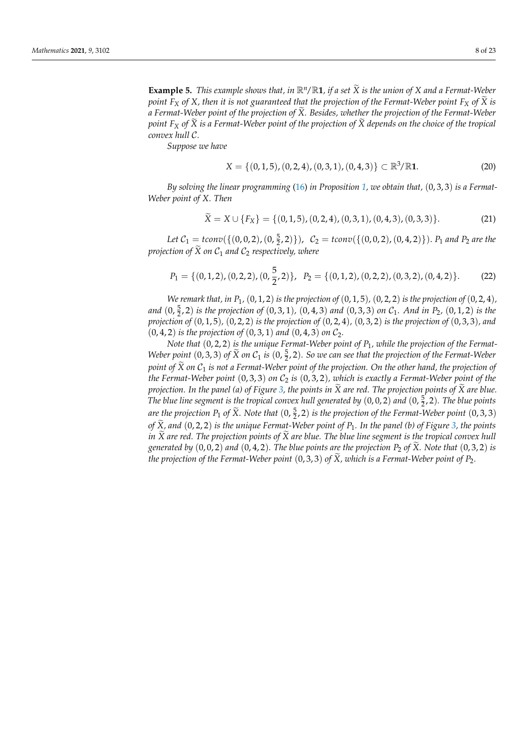<span id="page-7-0"></span>**Example 5.** *This example shows that, in*  $\mathbb{R}^n/\mathbb{R}$ **1***, if a set*  $\tilde{X}$  *is the union of*  $X$  *and a Fermat-Weber point*  $F_X$  *of*  $X$ *, then it is not guaranteed that the projection of the Fermat-Weber point*  $F_X$  *of*  $\tilde{X}$  *is a Fermat-Weber point of the projection of*  $\widetilde{X}$ *. Besides, whether the projection of the Fermat-Weber point*  $F_X$  *of*  $\widetilde{X}$  *is a Fermat-Weber point of the projection of*  $\widetilde{X}$  *depends on the choice of the tropical convex hull* C*.*

*Suppose we have*

$$
X = \{(0,1,5), (0,2,4), (0,3,1), (0,4,3)\} \subset \mathbb{R}^3/\mathbb{R} \mathbf{1}.
$$
 (20)

*By solving the linear programming* [\(16\)](#page-5-3) *in Proposition [1,](#page-5-4) we obtain that,* (0, 3, 3) *is a Fermat-Weber point of X. Then*

$$
\widetilde{X} = X \cup \{F_X\} = \{(0, 1, 5), (0, 2, 4), (0, 3, 1), (0, 4, 3), (0, 3, 3)\}.
$$
 (21)

Let  $C_1 = \text{tconv}(\{(0, 0, 2), (0, \frac{5}{2}, 2)\})$ ,  $C_2 = \text{tconv}(\{(0, 0, 2), (0, 4, 2)\})$ .  $P_1$  and  $P_2$  are the *projection of*  $\widetilde{X}$  *on*  $C_1$  *and*  $C_2$  *respectively, where* 

$$
P_1 = \{ (0, 1, 2), (0, 2, 2), (0, \frac{5}{2}, 2) \}, \quad P_2 = \{ (0, 1, 2), (0, 2, 2), (0, 3, 2), (0, 4, 2) \}. \tag{22}
$$

*We remark that, in*  $P_1$ *,* (0, 1, 2) *is the projection of* (0, 1, 5)*,* (0, 2, 2) *is the projection of* (0, 2, 4)*, and* (0, <sup>5</sup> 2 , 2) *is the projection of* (0, 3, 1)*,* (0, 4, 3) *and* (0, 3, 3) *on* C1*. And in P*2*,* (0, 1, 2) *is the projection of* (0, 1, 5)*,* (0, 2, 2) *is the projection of* (0, 2, 4)*,* (0, 3, 2) *is the projection of* (0, 3, 3)*, and*  $(0, 4, 2)$  *is the projection of*  $(0, 3, 1)$  *and*  $(0, 4, 3)$  *on*  $C_2$ *.* 

*Note that* (0, 2, 2) *is the unique Fermat-Weber point of P*1*, while the projection of the Fermat-Weber point*  $(0, 3, 3)$  *of*  $\widetilde{X}$  *on*  $C_1$  *is*  $(0, \frac{5}{2}, 2)$ *. So we can see that the projection of the Fermat-Weber point of*  $\widetilde{X}$  *on*  $C_1$  *is not a Fermat-Weber point of the projection. On the other hand, the projection of the Fermat-Weber point* (0, 3, 3) *on* C<sup>2</sup> *is* (0, 3, 2)*, which is exactly a Fermat-Weber point of the projection. In the panel (a) of Figure* [3,](#page-8-1) the points in  $\tilde{X}$  are red. The projection points of  $\tilde{X}$  are blue. The blue line segment is the tropical convex hull generated by  $(0,0,2)$  and  $(0,\frac{5}{2},2)$ . The blue points are the projection  $P_1$  of  $\widetilde{X}$ *. Note that*  $(0, \frac{5}{2}, 2)$  is the projection of the Fermat-Weber point  $(0, 3, 3)$ *of <sup>X</sup>*e*, and* (0, 2, 2) *is the unique Fermat-Weber point of <sup>P</sup>*1*. In the panel (b) of Figure [3,](#page-8-1) the points in*  $\bar{X}$  *are red. The projection points of*  $\bar{X}$  *are blue. The blue line segment is the tropical convex hull generated by*  $(0, 0, 2)$  *and*  $(0, 4, 2)$ *. The blue points are the projection*  $P_2$  *of*  $\tilde{X}$ *. Note that*  $(0, 3, 2)$  *is the projection of the Fermat-Weber point*  $(0, 3, 3)$  *of*  $\tilde{X}$ *, which is a Fermat-Weber point of*  $P_2$ *.*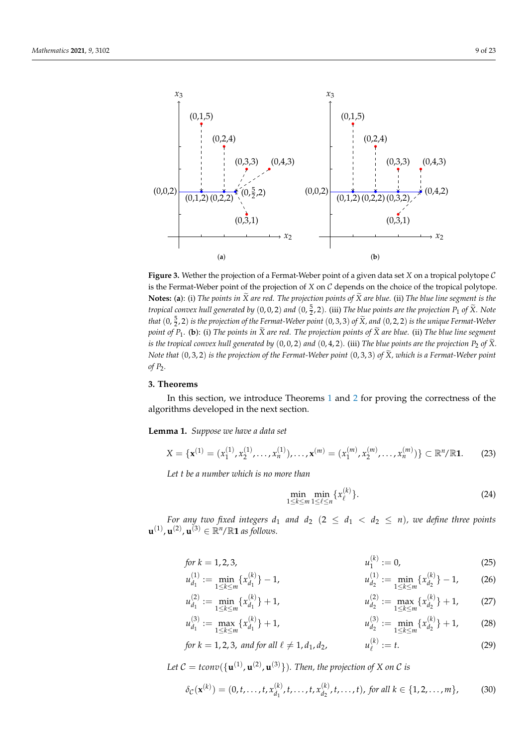<span id="page-8-1"></span>

**Figure 3.** Wether the projection of a Fermat-Weber point of a given data set *X* on a tropical polytope C is the Fermat-Weber point of the projection of *X* on C depends on the choice of the tropical polytope. **Notes:** (a): (i) The points in  $\widetilde{X}$  are red. The projection points of  $\widetilde{X}$  are blue. (ii) The blue line segment is the *tropical convex hull generated by*  $(0,0,2)$  *and*  $(0,\frac{5}{2},2)$ . (iii) *The blue points are the projection*  $P_1$  *of*  $\widetilde{X}$ *. Note that*  $(0, \frac{5}{2}, 2)$  *is the projection of the Fermat-Weber point*  $(0, 3, 3)$  *of*  $\widetilde{X}$ *, and*  $(0, 2, 2)$  *is the unique Fermat-Weber point of P*<sup>1</sup> *.* (**b**): (i) *The points in <sup>X</sup>*<sup>e</sup> *are red. The projection points of <sup>X</sup>*<sup>e</sup> *are blue.* (ii) *The blue line segment is the tropical convex hull generated by*  $(0, 0, 2)$  *and*  $(0, 4, 2)$ *.* (iii) *The blue points are the projection*  $P_2$  *of*  $\widetilde{X}$ *. Note that*  $(0, 3, 2)$  *is the projection of the Fermat-Weber point*  $(0, 3, 3)$  *of*  $\tilde{X}$ *, which is a Fermat-Weber point of P*2*.*

# <span id="page-8-0"></span>**3. Theorems**

In this section, we introduce Theorems [1](#page-10-0) and [2](#page-10-1) for proving the correctness of the algorithms developed in the next section.

<span id="page-8-2"></span>**Lemma 1.** *Suppose we have a data set*

$$
X = \{ \mathbf{x}^{(1)} = (x_1^{(1)}, x_2^{(1)}, \dots, x_n^{(1)}), \dots, \mathbf{x}^{(m)} = (x_1^{(m)}, x_2^{(m)}, \dots, x_n^{(m)}) \} \subset \mathbb{R}^n / \mathbb{R} \mathbf{1}.
$$
 (23)

*Let t be a number which is no more than*

<span id="page-8-6"></span><span id="page-8-5"></span><span id="page-8-4"></span><span id="page-8-3"></span>
$$
\min_{1 \le k \le m} \min_{1 \le \ell \le n} \{x_{\ell}^{(k)}\}.
$$
\n(24)

*For any two fixed integers*  $d_1$  *and*  $d_2$  $(2 \le d_1 < d_2 \le n)$ *, we define three points*  $\mathbf{u}^{(1)}$ ,  $\mathbf{u}^{(2)}$ ,  $\mathbf{u}^{(3)} \in \mathbb{R}^n / \mathbb{R}$ 1 *as follows.* 

for 
$$
k = 1, 2, 3,
$$
  $u_1^{(k)} := 0,$  (25)

$$
u_{d_1}^{(1)} := \min_{1 \le k \le m} \{x_{d_1}^{(k)}\} - 1, \qquad u_{d_2}^{(1)} := \min_{1 \le k \le m} \{x_{d_2}^{(k)}\} - 1, \qquad (26)
$$

$$
u_{d_1}^{(2)} := \min_{1 \le k \le m} \{x_{d_1}^{(k)}\} + 1, \qquad u_{d_2}^{(2)} := \max_{1 \le k \le m} \{x_{d_2}^{(k)}\} + 1, \qquad (27)
$$

$$
u_{d_1}^{(3)} := \max_{1 \le k \le m} \{x_{d_1}^{(k)}\} + 1, \qquad u_{d_2}^{(3)} := \min_{1 \le k \le m} \{x_{d_2}^{(k)}\} + 1, \qquad (28)
$$

for 
$$
k = 1, 2, 3
$$
, and for all  $\ell \neq 1, d_1, d_2$ ,  $u_{\ell}^{(k)} := t$ . (29)

Let  $\mathcal{C} = \text{tconv}(\{\mathbf{u}^{(1)}, \mathbf{u}^{(2)}, \mathbf{u}^{(3)}\})$ . Then, the projection of X on  $\mathcal C$  is

$$
\delta_{\mathcal{C}}(\mathbf{x}^{(k)}) = (0, t, \dots, t, x_{d_1}^{(k)}, t, \dots, t, x_{d_2}^{(k)}, t, \dots, t), \text{ for all } k \in \{1, 2, \dots, m\},\tag{30}
$$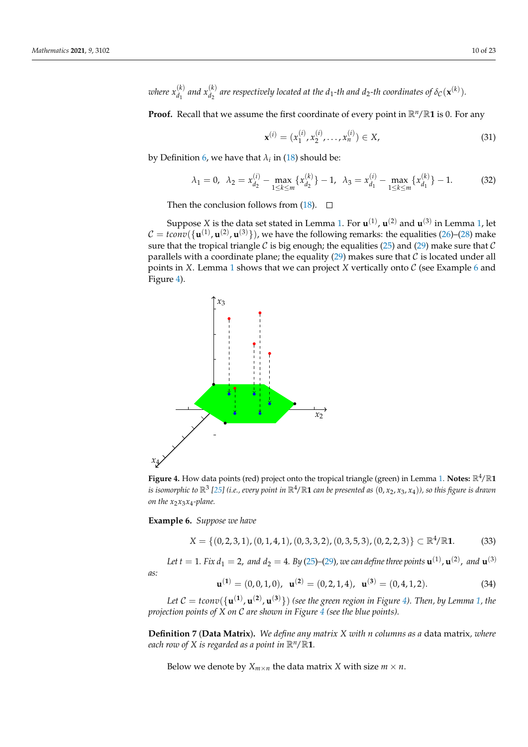*where*  $x_{d_1}^{(k)}$  *and*  $x_{d_2}^{(k)}$  *are respectively located at the d<sub>1</sub>-th and d<sub>2</sub>-th coordinates of*  $\delta_{\mathcal{C}}(\mathbf{x}^{(k)}).$ 

**Proof.** Recall that we assume the first coordinate of every point in  $\mathbb{R}^n/\mathbb{R}$ **1** is 0. For any

$$
\mathbf{x}^{(i)} = (x_1^{(i)}, x_2^{(i)}, \dots, x_n^{(i)}) \in X,\tag{31}
$$

by Definition [6,](#page-5-0) we have that  $\lambda_i$  in [\(18\)](#page-5-5) should be:

$$
\lambda_1 = 0, \ \ \lambda_2 = x_{d_2}^{(i)} - \max_{1 \le k \le m} \{ x_{d_2}^{(k)} \} - 1, \ \ \lambda_3 = x_{d_1}^{(i)} - \max_{1 \le k \le m} \{ x_{d_1}^{(k)} \} - 1. \tag{32}
$$

Then the conclusion follows from [\(18\)](#page-5-5).  $\Box$ 

Suppose *X* is the data set stated in Lemma [1.](#page-8-2) For  $\mathbf{u}^{(1)}$ ,  $\mathbf{u}^{(2)}$  and  $\mathbf{u}^{(3)}$  in Lemma [1,](#page-8-2) let  $\mathcal{C} = \textit{tconv}(\{\mathbf{u}^{(1)}, \mathbf{u}^{(2)}, \mathbf{u}^{(3)}\})$ , we have the following remarks: the equalities [\(26\)](#page-8-3)–[\(28\)](#page-8-4) make sure that the tropical triangle C is big enough; the equalities [\(25\)](#page-8-5) and [\(29\)](#page-8-6) make sure that C parallels with a coordinate plane; the equality  $(29)$  makes sure that  $C$  is located under all points in *X*. Lemma [1](#page-8-2) shows that we can project *X* vertically onto  $C$  (see Example [6](#page-9-0) and Figure [4\)](#page-9-1).

<span id="page-9-1"></span>

**Figure 4.** How data points (red) project onto the tropical triangle (green) in Lemma [1.](#page-8-2) Notes:  $\mathbb{R}^4/\mathbb{R}$ 1 *is isomorphic to* R<sup>3</sup> *[\[25\]](#page-22-4) (i.e., every point in* R4/R**<sup>1</sup>** *can be presented as* (0, *<sup>x</sup>*2, *<sup>x</sup>*3, *<sup>x</sup>*4)*), so this figure is drawn on the x*2*x*3*x*<sup>4</sup> *-plane.*

<span id="page-9-0"></span>**Example 6.** *Suppose we have*

$$
X = \{(0, 2, 3, 1), (0, 1, 4, 1), (0, 3, 3, 2), (0, 3, 5, 3), (0, 2, 2, 3)\} \subset \mathbb{R}^4/\mathbb{R}^4.
$$
 (33)

Let  $t = 1$ . Fix  $d_1 = 2$ , and  $d_2 = 4$ . By [\(25\)](#page-8-5)–[\(29\)](#page-8-6), we can define three points  $\mathbf{u}^{(1)}$ ,  $\mathbf{u}^{(2)}$ , and  $\mathbf{u}^{(3)}$ 

*as:*

$$
\mathbf{u}^{(1)} = (0,0,1,0), \ \mathbf{u}^{(2)} = (0,2,1,4), \ \mathbf{u}^{(3)} = (0,4,1,2). \tag{34}
$$

Let  $\mathcal{C} = t$ conv $(\{\mathbf{u}^{(1)}, \mathbf{u}^{(2)}, \mathbf{u}^{(3)}\})$  (see the green region in Figure [4\)](#page-9-1). Then, by Lemma [1,](#page-8-2) the *projection points of X on* C *are shown in Figure [4](#page-9-1) (see the blue points).*

**Definition 7** (**Data Matrix**)**.** *We define any matrix X with n columns as a* data matrix*, where each row of X is regarded as a point in*  $\mathbb{R}^n/\mathbb{R}$ 1*.* 

Below we denote by  $X_{m \times n}$  the data matrix *X* with size  $m \times n$ .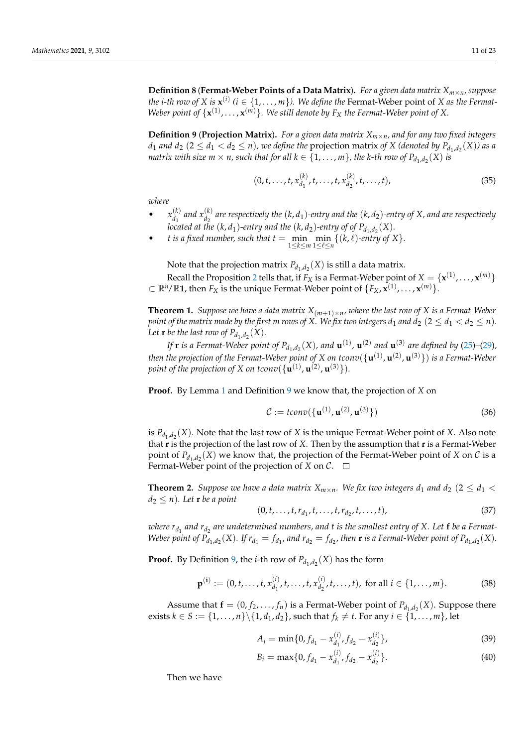**Definition 8** (**Fermat-Weber Points of a Data Matrix**)**.** *For a given data matrix Xm*×*n, suppose the i-th row of X is*  $\mathbf{x}^{(i)}$  ( $i \in \{1, \ldots, m\}$ ). We define the Fermat-Weber point of *X as the Fermat*-*Weber point of*  $\{x^{(1)},...,x^{(m)}\}$ . We still denote by  $F_X$  the Fermat-Weber point of X.

<span id="page-10-2"></span>**Definition 9** (**Projection Matrix**). For a given data matrix  $X_{m \times n}$ , and for any two fixed integers *d*<sub>1</sub> *and d*<sub>2</sub> (2  $\le$  *d*<sub>1</sub>  $<$  *d*<sub>2</sub>  $\le$  *n*)*, we define the <code>projection matrix <i>of X* (*denoted by*  $P_{d_1,d_2}(X)$ *) as a*</code> *matrix with size*  $m \times n$ *, such that for all*  $k \in \{1, ..., m\}$ *, the k-th row of*  $P_{d_1, d_2}(X)$  *is* 

$$
(0, t, \dots, t, x_{d_1}^{(k)}, t, \dots, t, x_{d_2}^{(k)}, t, \dots, t),
$$
\n(35)

*where*

- $x_{d_1}^{(k)}$  $\binom{k}{d_1}$  and  $x_{d_2}^{(k)}$  $\frac{d^{(k)}}{d_2}$  are respectively the  $(k, d_1)$ -entry and the  $(k, d_2)$ -entry of X, and are respectively located at the  $(k, d_1)$ -entry and the  $(k, d_2)$ -entry of of  $P_{d_1, d_2}(X)$ .
- *t is a fixed number, such that*  $t = \min_{1 \le k \le m} \min_{1 \le \ell \le n} \{ (k, \ell)$ *<i>-entry of*  $X \}$ *.*

Note that the projection matrix  $P_{d_1,d_2}(X)$  is still a data matrix.

Recall the Proposition [2](#page-6-1) tells that, if  $F_X$  is a Fermat-Weber point of  $X = \{ \mathbf{x}^{(1)}, \dots, \mathbf{x}^{(m)} \}$  $\subset \mathbb{R}^n/\mathbb{R}$ 1, then  $F_X$  is the unique Fermat-Weber point of  $\{F_X, \hat{\mathbf{x}}^{(1)}, \dots, \mathbf{x}^{(m)}\}$ .

<span id="page-10-0"></span>**Theorem 1.** *Suppose we have a data matrix*  $X_{(m+1)\times n}$ , where the last row of X is a Fermat-Weber *point of the matrix made by the first m rows of X. We fix two integers*  $d_1$  *and*  $d_2$  (2  $\leq d_1 < d_2 \leq n$ ). Let **r** be the last row of  $P_{d_1,d_2}(X)$ .

*If* **r** *is a Fermat-Weber point of*  $P_{d_1, d_2}(X)$ *, and*  $\mathbf{u}^{(1)}$ *,*  $\mathbf{u}^{(2)}$  *and*  $\mathbf{u}^{(3)}$  *are defined by [\(25\)](#page-8-5)–[\(29\)](#page-8-6), then the projection of the Fermat-Weber point of X on tconv*({**u** (1) , **u** (2) , **u** (3)}) *is a Fermat-Weber* point of the projection of X on tconv $(\{\mathbf{u}^{(1)}, \mathbf{u}^{(2)}, \mathbf{u}^{(3)}\})$ .

**Proof.** By Lemma [1](#page-8-2) and Definition [9](#page-10-2) we know that, the projection of *X* on

$$
\mathcal{C} := \text{tconv}\big(\{\mathbf{u}^{(1)}, \mathbf{u}^{(2)}, \mathbf{u}^{(3)}\}\big) \tag{36}
$$

is  $P_{d_1,d_2}(X)$ . Note that the last row of *X* is the unique Fermat-Weber point of *X*. Also note that **r** is the projection of the last row of *X*. Then by the assumption that **r** is a Fermat-Weber point of  $P_{d_1,d_2}(X)$  we know that, the projection of the Fermat-Weber point of *X* on *C* is a Fermat-Weber point of the projection of *X* on  $\mathcal{C}$ .  $\Box$ 

<span id="page-10-1"></span>**Theorem 2.** *Suppose we have a data matrix*  $X_{m \times n}$ *. We fix two integers*  $d_1$  *and*  $d_2$  (2  $\leq d_1$  <  $d_2 \leq n$ ). Let **r** be a point

$$
(0, t, \dots, t, r_{d_1}, t, \dots, t, r_{d_2}, t, \dots, t),
$$
\n(37)

 $a$  *vhere*  $r_{d_1}$  *and*  $r_{d_2}$  *are undetermined numbers, and*  $t$  *is the smallest entry of*  $X$ *. Let*  $\bf{f}$  *be a Fermat-*Weber point of  $P_{d_1,d_2}(X)$ . If  $r_{d_1} = f_{d_1}$ , and  $r_{d_2} = f_{d_2}$ , then **r** is a Fermat-Weber point of  $P_{d_1,d_2}(X)$ .

**Proof.** By Definition [9,](#page-10-2) the *i*-th row of  $P_{d_1,d_2}(X)$  has the form

$$
\mathbf{p}^{(i)} := (0, t, \dots, t, x_{d_1}^{(i)}, t, \dots, t, x_{d_2}^{(i)}, t, \dots, t), \text{ for all } i \in \{1, \dots, m\}. \tag{38}
$$

Assume that  $\mathbf{f} = (0, f_2, \dots, f_n)$  is a Fermat-Weber point of  $P_{d_1, d_2}(X)$ . Suppose there exists *k* ∈ *S* := {1, . . . , *n*} \{1, *d*<sub>1</sub>, *d*<sub>2</sub>}, such that *f*<sub>*k*</sub> ≠ *t*. For any *i* ∈ {1, . . . , *m*}, let

$$
A_i = \min\{0, f_{d_1} - x_{d_1}^{(i)}, f_{d_2} - x_{d_2}^{(i)}\},\tag{39}
$$

$$
B_i = \max\{0, f_{d_1} - x_{d_1}^{(i)}, f_{d_2} - x_{d_2}^{(i)}\}.
$$
\n(40)

Then we have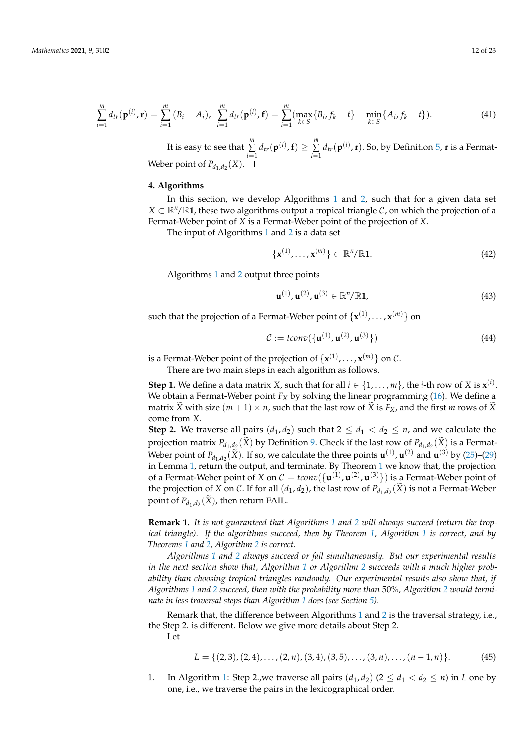$$
\sum_{i=1}^{m} d_{tr}(\mathbf{p}^{(i)}, \mathbf{r}) = \sum_{i=1}^{m} (B_i - A_i), \ \sum_{i=1}^{m} d_{tr}(\mathbf{p}^{(i)}, \mathbf{f}) = \sum_{i=1}^{m} (\max_{k \in S} \{B_i, f_k - t\} - \min_{k \in S} \{A_i, f_k - t\}).
$$
\n(41)

It is easy to see that *m* ∑  $\sum_{i=1}^{m} d_{tr}(\mathbf{p}^{(i)}, \mathbf{f}) \geq \sum_{i=1}^{m}$  $\sum_{i=1}^{m} d_{tr}(\mathbf{p}^{(i)}, \mathbf{r})$ . So, by Definition [5,](#page-5-6) **r** is a Fermat-Weber point of  $P_{d_1,d_2}(X)$ .

## <span id="page-11-0"></span>**4. Algorithms**

In this section, we develop Algorithms [1](#page-2-0) and [2,](#page-3-0) such that for a given data set  $X \subset \mathbb{R}^n/\mathbb{R}$ 1, these two algorithms output a tropical triangle C, on which the projection of a Fermat-Weber point of *X* is a Fermat-Weber point of the projection of *X*.

The input of Algorithms [1](#page-2-0) and [2](#page-3-0) is a data set

$$
\{\mathbf x^{(1)},\ldots,\mathbf x^{(m)}\}\subset\mathbb R^n/\mathbb R\mathbf 1.\tag{42}
$$

Algorithms [1](#page-2-0) and [2](#page-3-0) output three points

$$
\mathbf{u}^{(1)}, \mathbf{u}^{(2)}, \mathbf{u}^{(3)} \in \mathbb{R}^n / \mathbb{R} \mathbf{1},\tag{43}
$$

such that the projection of a Fermat-Weber point of  $\{ \mathbf{x}^{(1)}, \dots, \mathbf{x}^{(m)} \}$  on

$$
\mathcal{C} := \text{tconv}\big(\{\mathbf{u}^{(1)}, \mathbf{u}^{(2)}, \mathbf{u}^{(3)}\}\big) \tag{44}
$$

is a Fermat-Weber point of the projection of  $\{ \mathbf{x}^{(1)}, \ldots, \mathbf{x}^{(m)} \}$  on  $\mathcal{C}.$ 

There are two main steps in each algorithm as follows.

**Step 1.** We define a data matrix *X*, such that for all  $i \in \{1, \ldots, m\}$ , the *i*-th row of *X* is  $\mathbf{x}^{(i)}$ . We obtain a Fermat-Weber point  $F_X$  by solving the linear programming  $(16)$ . We define a matrix X with size  $(m + 1) \times n$ , such that the last row of X is  $F_X$ , and the first *m* rows of X come from *X*.

**Step 2.** We traverse all pairs  $(d_1, d_2)$  such that  $2 \leq d_1 < d_2 \leq n$ , and we calculate the projection matrix  $P_{d_1, d_2}(X)$  by Definition [9.](#page-10-2) Check if the last row of  $P_{d_1, d_2}(X)$  is a Fermat-Weber point of  $P_{d_1,d_2}(\tilde{X})$ . If so, we calculate the three points  $\mathbf{u}^{(1)}$ ,  $\mathbf{u}^{(2)}$  and  $\mathbf{u}^{(3)}$  by [\(25\)](#page-8-5)–[\(29\)](#page-8-6) in Lemma [1,](#page-8-2) return the output, and terminate. By Theorem [1](#page-10-0) we know that, the projection of a Fermat-Weber point of *X* on  $C = \text{tconv}(\{\mathbf{u}^{(1)}, \mathbf{u}^{(2)}, \mathbf{u}^{(3)}\})$  is a Fermat-Weber point of the projection of *X* on *C*. If for all  $(d_1, d_2)$ , the last row of  $P_{d_1, d_2}(X)$  is not a Fermat-Weber point of  $P_{d_1,d_2}(X)$ , then return FAIL.

<span id="page-11-2"></span>**Remark 1.** *It is not guaranteed that Algorithms [1](#page-2-0) and [2](#page-3-0) will always succeed (return the tropical triangle). If the algorithms succeed, then by Theorem [1,](#page-10-0) Algorithm [1](#page-2-0) is correct, and by Theorems [1](#page-10-0) and [2,](#page-10-1) Algorithm [2](#page-3-0) is correct.*

*Algorithms [1](#page-2-0) and [2](#page-3-0) always succeed or fail simultaneously. But our experimental results in the next section show that, Algorithm [1](#page-2-0) or Algorithm [2](#page-3-0) succeeds with a much higher probability than choosing tropical triangles randomly. Our experimental results also show that, if Algorithms [1](#page-2-0) and [2](#page-3-0) succeed, then with the probability more than* 50%*, Algorithm [2](#page-3-0) would terminate in less traversal steps than Algorithm [1](#page-2-0) does (see Section [5\)](#page-17-0).*

Remark that, the difference between Algorithms [1](#page-2-0) and [2](#page-3-0) is the traversal strategy, i.e., the Step 2. is different. Below we give more details about Step 2.

Let

<span id="page-11-1"></span>
$$
L = \{(2,3), (2,4), \ldots, (2,n), (3,4), (3,5), \ldots, (3,n), \ldots, (n-1,n)\}.
$$
 (45)

1. In Algorithm [1:](#page-2-0) Step 2, we traverse all pairs  $(d_1, d_2)$   $(2 \leq d_1 < d_2 \leq n)$  in *L* one by one, i.e., we traverse the pairs in the lexicographical order.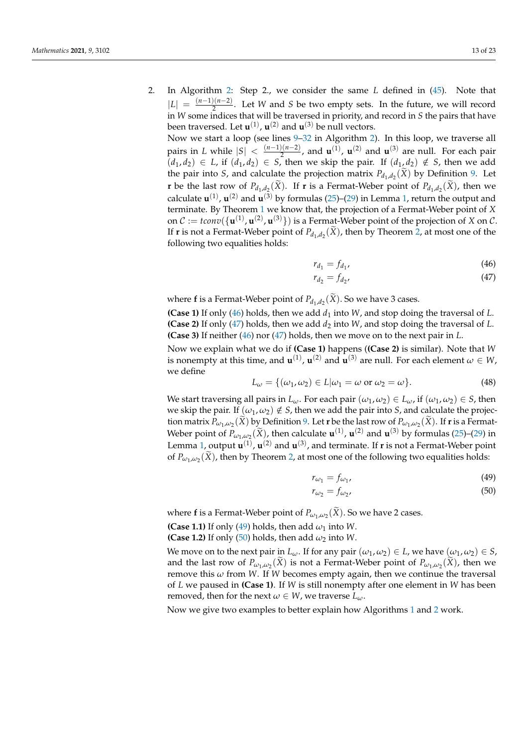2. In Algorithm [2:](#page-3-0) Step 2., we consider the same *L* defined in [\(45\)](#page-11-1). Note that  $|L| = \frac{(n-1)(n-2)}{2}$  $\frac{2(n-2)}{2}$ . Let *W* and *S* be two empty sets. In the future, we will record in *W* some indices that will be traversed in priority, and record in *S* the pairs that have been traversed. Let  $\mathbf{u}^{(1)}$ ,  $\mathbf{u}^{(2)}$  and  $\mathbf{u}^{(3)}$  be null vectors.

Now we start a loop (see lines [9](#page-3-2)[–32](#page-3-3) in Algorithm [2\)](#page-3-0). In this loop, we traverse all pairs in *L* while  $|S| < \frac{(n-1)(n-2)}{2}$  $\frac{2(n-2)}{2}$ , and **u**<sup>(1)</sup>, **u**<sup>(2)</sup> and **u**<sup>(3)</sup> are null. For each pair  $(d_1, d_2) \in L$ , if  $(d_1, d_2) \in S$ , then we skip the pair. If  $(d_1, d_2) \notin S$ , then we add the pair into *S*, and calculate the projection matrix  $P_{d_1,d_2}(X)$  by Definition [9.](#page-10-2) Let **r** be the last row of  $P_{d_1, d_2}(X)$ . If **r** is a Fermat-Weber point of  $P_{d_1, d_2}(X)$ , then we calculate  $\mathbf{u}^{(1)}$ ,  $\mathbf{u}^{(2)}$  and  $\mathbf{u}^{(3)}$  by formulas [\(25\)](#page-8-5)–[\(29\)](#page-8-6) in Lemma [1,](#page-8-2) return the output and terminate. By Theorem [1](#page-10-0) we know that, the projection of a Fermat-Weber point of *X* on  $C := \text{tconv}(\{\mathbf{u}^{(1)}, \mathbf{u}^{(2)}, \mathbf{u}^{(3)}\})$  is a Fermat-Weber point of the projection of *X* on *C*. If **r** is not a Fermat-Weber point of  $P_{d_1,d_2}(X)$ , then by Theorem [2,](#page-10-1) at most one of the following two equalities holds:

<span id="page-12-1"></span><span id="page-12-0"></span>
$$
r_{d_1} = f_{d_1}, \tag{46}
$$

$$
r_{d_2} = f_{d_2},\tag{47}
$$

where **f** is a Fermat-Weber point of  $P_{d_1,d_2}(X)$ . So we have 3 cases.

**(Case 1)** If only [\(46\)](#page-12-0) holds, then we add  $d_1$  into *W*, and stop doing the traversal of *L*. **(Case 2)** If only [\(47\)](#page-12-1) holds, then we add  $d_2$  into *W*, and stop doing the traversal of *L*. **(Case 3)** If neither [\(46\)](#page-12-0) nor [\(47\)](#page-12-1) holds, then we move on to the next pair in *L*.

Now we explain what we do if **(Case 1)** happens (**(Case 2)** is similar). Note that *W* is nonempty at this time, and  $\mathbf{u}^{(1)}$ ,  $\mathbf{u}^{(2)}$  and  $\mathbf{u}^{(3)}$  are null. For each element  $\omega \in W$ , we define

<span id="page-12-4"></span>
$$
L_{\omega} = \{(\omega_1, \omega_2) \in L | \omega_1 = \omega \text{ or } \omega_2 = \omega\}.
$$
 (48)

We start traversing all pairs in  $L_\omega$ . For each pair  $(\omega_1, \omega_2) \in L_\omega$ , if  $(\omega_1, \omega_2) \in S$ , then we skip the pair. If  $(\omega_1, \omega_2) \notin S$ , then we add the pair into *S*, and calculate the projection matrix  $P_{\omega_1,\omega_2}(X)$  by Definition [9.](#page-10-2) Let **r** be the last row of  $P_{\omega_1,\omega_2}(X)$ . If **r** is a Fermat-Weber point of  $P_{\omega_1,\omega_2}(\tilde{X})$ , then calculate  $\mathbf{u}^{(1)}$ ,  $\mathbf{u}^{(2)}$  and  $\mathbf{u}^{(3)}$  by formulas [\(25\)](#page-8-5)–[\(29\)](#page-8-6) in Lemma [1,](#page-8-2) output  $\mathbf{u}^{(1)}$ ,  $\mathbf{u}^{(2)}$  and  $\mathbf{u}^{(3)}$ , and terminate. If **r** is not a Fermat-Weber point of  $P_{\omega_1,\omega_2}(X)$ , then by Theorem [2,](#page-10-1) at most one of the following two equalities holds:

<span id="page-12-3"></span><span id="page-12-2"></span>
$$
r_{\omega_1} = f_{\omega_1},\tag{49}
$$

$$
r_{\omega_2} = f_{\omega_2},\tag{50}
$$

where **f** is a Fermat-Weber point of  $P_{\omega_1,\omega_2}(X)$ . So we have 2 cases.

**(Case 1.1)** If only [\(49\)](#page-12-2) holds, then add  $\omega_1$  into *W*.

**(Case 1.2)** If only [\(50\)](#page-12-3) holds, then add  $\omega_2$  into *W*.

We move on to the next pair in  $L_{\omega}$ . If for any pair  $(\omega_1, \omega_2) \in L$ , we have  $(\omega_1, \omega_2) \in S$ , and the last row of  $P_{\omega_1,\omega_2}(X)$  is not a Fermat-Weber point of  $P_{\omega_1,\omega_2}(X)$ , then we remove this *ω* from *W*. If *W* becomes empty again, then we continue the traversal of *L* we paused in **(Case 1)**. If *W* is still nonempty after one element in *W* has been removed, then for the next  $\omega \in W$ , we traverse  $L_{\omega}$ .

Now we give two examples to better explain how Algorithms [1](#page-2-0) and [2](#page-3-0) work.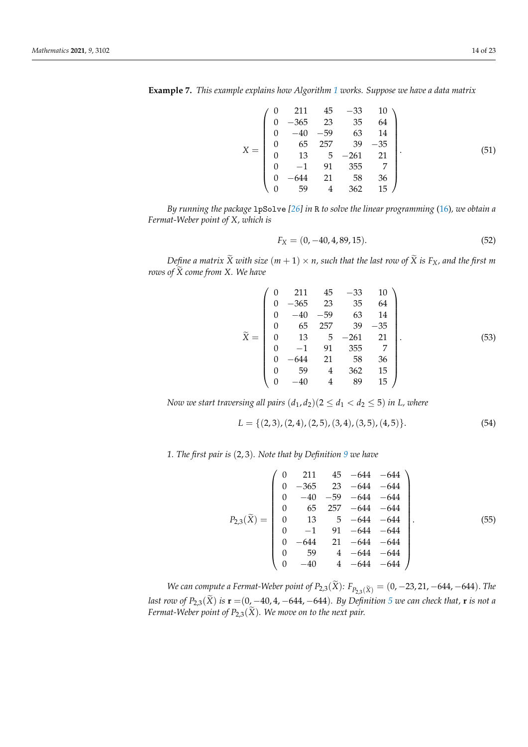**Example 7.** *This example explains how Algorithm [1](#page-2-0) works. Suppose we have a data matrix*

$$
X = \begin{pmatrix} 0 & 211 & 45 & -33 & 10 \\ 0 & -365 & 23 & 35 & 64 \\ 0 & -40 & -59 & 63 & 14 \\ 0 & 65 & 257 & 39 & -35 \\ 0 & 13 & 5 & -261 & 21 \\ 0 & -1 & 91 & 355 & 7 \\ 0 & -644 & 21 & 58 & 36 \\ 0 & 59 & 4 & 362 & 15 \end{pmatrix}.
$$
(51)

*By running the package* lpSolve *[\[26\]](#page-22-5) in* R *to solve the linear programming* [\(16\)](#page-5-3)*, we obtain a Fermat-Weber point of X, which is*

$$
F_X = (0, -40, 4, 89, 15). \tag{52}
$$

*Define a matrix*  $\widetilde{X}$  *with size*  $(m + 1) \times n$ , such that the last row of  $\widetilde{X}$  is  $F_X$ , and the first m *rows of*  $\widetilde{X}$  *come from X. We have* 

$$
\tilde{X} = \begin{pmatrix}\n0 & 211 & 45 & -33 & 10 \\
0 & -365 & 23 & 35 & 64 \\
0 & -40 & -59 & 63 & 14 \\
0 & 65 & 257 & 39 & -35 \\
0 & 13 & 5 & -261 & 21 \\
0 & -1 & 91 & 355 & 7 \\
0 & -644 & 21 & 58 & 36 \\
0 & 59 & 4 & 362 & 15 \\
0 & -40 & 4 & 89 & 15\n\end{pmatrix}.
$$
\n(53)

*Now we start traversing all pairs*  $(d_1, d_2)(2 \leq d_1 < d_2 \leq 5)$  *in L, where* 

$$
L = \{ (2,3), (2,4), (2,5), (3,4), (3,5), (4,5) \}. \tag{54}
$$

*1. The first pair is* (2, 3)*. Note that by Definition [9](#page-10-2) we have*

$$
P_{2,3}(\widetilde{X}) = \begin{pmatrix} 0 & 211 & 45 & -644 & -644 \ 0 & -365 & 23 & -644 & -644 \ 0 & -40 & -59 & -644 & -644 \ 0 & 65 & 257 & -644 & -644 \ 0 & 13 & 5 & -644 & -644 \ 0 & -1 & 91 & -644 & -644 \ 0 & -644 & 21 & -644 & -644 \ 0 & 59 & 4 & -644 & -644 \ 0 & -40 & 4 & -644 & -644 \end{pmatrix}.
$$
(55)

*We can compute a Fermat-Weber point of*  $P_{2,3}(\tilde{X})$ *:*  $F_{P_{2,3}(\tilde{X})} = (0, -23, 21, -644, -644)$ *. The last row of*  $P_{2,3}(\tilde{X})$  *is*  $\mathbf{r} = (0, -40, 4, -644, -644)$ *. By Definition [5](#page-5-6) we can check that,* **r** *is not a Fermat-Weber point of P*<sub>2,3</sub>( $\widetilde{X}$ ). We move on to the next pair.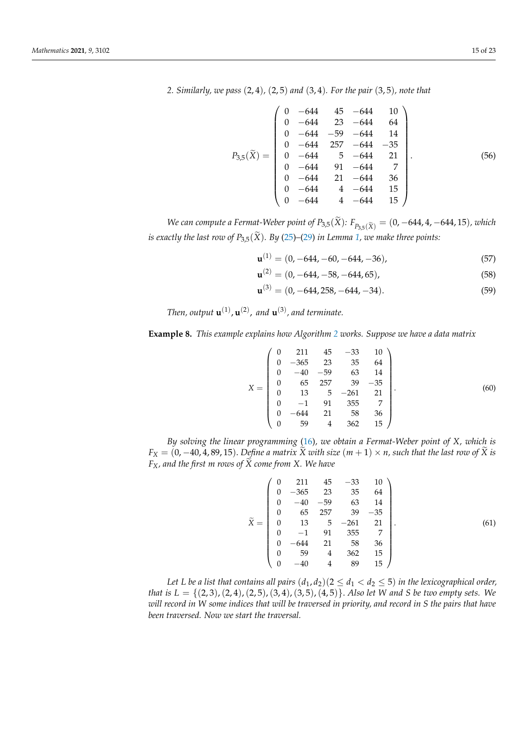*2. Similarly, we pass* (2, 4)*,* (2, 5) *and* (3, 4)*. For the pair* (3, 5)*, note that*

$$
P_{3,5}(\tilde{X}) = \begin{pmatrix} 0 & -644 & 45 & -644 & 10 \\ 0 & -644 & 23 & -644 & 64 \\ 0 & -644 & -59 & -644 & 14 \\ 0 & -644 & 257 & -644 & -35 \\ 0 & -644 & 5 & -644 & 21 \\ 0 & -644 & 91 & -644 & 7 \\ 0 & -644 & 21 & -644 & 36 \\ 0 & -644 & 4 & -644 & 15 \\ 0 & -644 & 4 & -644 & 15 \end{pmatrix}.
$$
(56)

*We can compute a Fermat-Weber point of P*<sub>3,5</sub>( $\tilde{X}$ ):  $F_{P_{3,5}(\tilde{X})} = (0, -644, 4, -644, 15)$ *, which is exactly the last row of P*<sub>3.5</sub>( $\widetilde{X}$ ). By [\(25\)](#page-8-5)–[\(29\)](#page-8-6) *in Lemma [1,](#page-8-2) we make three points:* 

$$
\mathbf{u}^{(1)} = (0, -644, -60, -644, -36),\tag{57}
$$

$$
\mathbf{u}^{(2)} = (0, -644, -58, -644, 65),\tag{58}
$$

$$
\mathbf{u}^{(3)} = (0, -644, 258, -644, -34). \tag{59}
$$

Then, output  $\mathbf{u}^{(1)}$ ,  $\mathbf{u}^{(2)}$ , and  $\mathbf{u}^{(3)}$ , and terminate.

**Example 8.** *This example explains how Algorithm [2](#page-3-0) works. Suppose we have a data matrix*

$$
X = \begin{pmatrix} 0 & 211 & 45 & -33 & 10 \\ 0 & -365 & 23 & 35 & 64 \\ 0 & -40 & -59 & 63 & 14 \\ 0 & 65 & 257 & 39 & -35 \\ 0 & 13 & 5 & -261 & 21 \\ 0 & -1 & 91 & 355 & 7 \\ 0 & -644 & 21 & 58 & 36 \\ 0 & 59 & 4 & 362 & 15 \end{pmatrix}.
$$
 (60)

*By solving the linear programming* [\(16\)](#page-5-3)*, we obtain a Fermat-Weber point of X, which is*  $F_X = (0, -40, 4, 89, 15)$ . *Define a matrix*  $\widetilde{X}$  *with size*  $(m + 1) \times n$ , *such that the last row of*  $\widetilde{X}$  *is*  $F_X$ , and the first m rows of  $\widetilde{X}$  come from X. We have

$$
\tilde{X} = \begin{pmatrix}\n0 & 211 & 45 & -33 & 10 \\
0 & -365 & 23 & 35 & 64 \\
0 & -40 & -59 & 63 & 14 \\
0 & 65 & 257 & 39 & -35 \\
0 & 13 & 5 & -261 & 21 \\
0 & -1 & 91 & 355 & 7 \\
0 & -644 & 21 & 58 & 36 \\
0 & 59 & 4 & 362 & 15 \\
0 & -40 & 4 & 89 & 15\n\end{pmatrix}.
$$
\n(61)

*Let L be a list that contains all pairs*  $(d_1, d_2)(2 \leq d_1 < d_2 \leq 5)$  *in the lexicographical order, that is L* = {(2, 3),(2, 4),(2, 5),(3, 4),(3, 5),(4, 5)}. *Also let W and S be two empty sets. We will record in W some indices that will be traversed in priority, and record in S the pairs that have been traversed. Now we start the traversal.*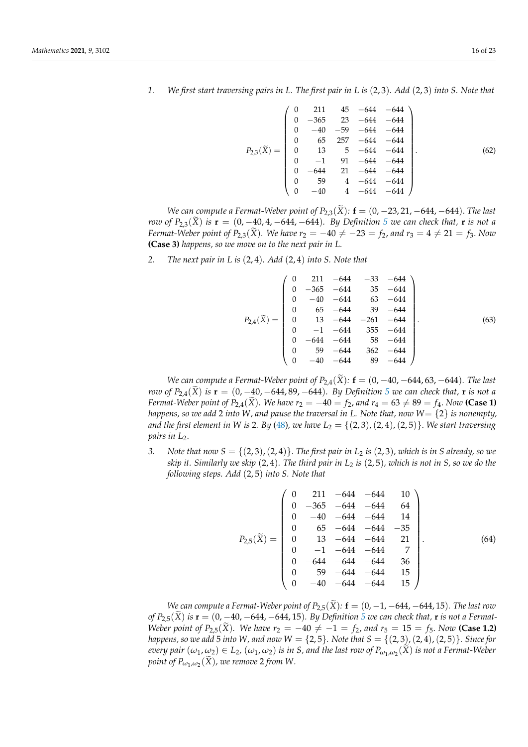- 
- *1. We first start traversing pairs in L. The first pair in L is* (2, 3)*. Add* (2, 3) *into S. Note that*

$$
P_{2,3}(\tilde{X}) = \begin{pmatrix} 0 & 211 & 45 & -644 & -644 \\ 0 & -365 & 23 & -644 & -644 \\ 0 & -40 & -59 & -644 & -644 \\ 0 & 65 & 257 & -644 & -644 \\ 0 & 13 & 5 & -644 & -644 \\ 0 & -1 & 91 & -644 & -644 \\ 0 & -644 & 21 & -644 & -644 \\ 0 & 59 & 4 & -644 & -644 \\ 0 & -40 & 4 & -644 & -644 \end{pmatrix}.
$$
 (62)

*We can compute a Fermat-Weber point of*  $P_{2,3}(\tilde{X})$ *:*  $f = (0, -23, 21, -644, -644)$ *. The last row of*  $P_{2,3}(\tilde{X})$  *is*  $\mathbf{r} = (0, -40, 4, -644, -644)$ *. By Definition* [5](#page-5-6) we can check that, **r** *is not a Fermat-Weber point of*  $P_{2,3}(\tilde{X})$ *. We have*  $r_2 = -40 \neq -23 = f_2$ *, and*  $r_3 = 4 \neq 21 = f_3$ *. Now* **(Case 3)** *happens, so we move on to the next pair in L.*

*2. The next pair in L is* (2, 4)*. Add* (2, 4) *into S. Note that*

$$
P_{2,4}(\tilde{X}) = \begin{pmatrix} 0 & 211 & -644 & -33 & -644 \\ 0 & -365 & -644 & 35 & -644 \\ 0 & -40 & -644 & 63 & -644 \\ 0 & 65 & -644 & 39 & -644 \\ 0 & 13 & -644 & -261 & -644 \\ 0 & -1 & -644 & 355 & -644 \\ 0 & -644 & -644 & 58 & -644 \\ 0 & 59 & -644 & 362 & -644 \\ 0 & -40 & -644 & 89 & -644 \end{pmatrix}.
$$
(63)

*We can compute a Fermat-Weber point of*  $P_{2,4}(\tilde{X})$ *:*  $f = (0, -40, -644, 63, -644)$ *. The last row of*  $P_{2,4}(\tilde{X})$  *is*  $\mathbf{r} = (0, -40, -644, 89, -644)$ *. By Definition* [5](#page-5-6) *we can check that,* **r** *is not a Fermat-Weber point of*  $P_{2,4}(\tilde{X})$ *. We have*  $r_2 = -40 = f_2$ *, and*  $r_4 = 63 \neq 89 = f_4$ *. Now* (Case 1) *happens, so we add* 2 *into W, and pause the traversal in L. Note that, now W*= {2} *is nonempty, and the first element in W* is 2. By [\(48\)](#page-12-4), we have  $L_2 = \{(2, 3), (2, 4), (2, 5)\}$ . We start traversing *pairs in L<sub>2</sub>*.

*3. Note that now*  $S = \{(2, 3), (2, 4)\}$ *. The first pair in*  $L_2$  *is*  $(2, 3)$ *, which is in S already, so we skip it. Similarly we skip* (2, 4)*. The third pair in L*<sup>2</sup> *is* (2, 5)*, which is not in S, so we do the following steps. Add* (2, 5) *into S. Note that*

$$
P_{2,5}(\tilde{X}) = \begin{pmatrix} 0 & 211 & -644 & -644 & 10 \\ 0 & -365 & -644 & -644 & 64 \\ 0 & -40 & -644 & -644 & 14 \\ 0 & 65 & -644 & -644 & -35 \\ 0 & 13 & -644 & -644 & 21 \\ 0 & -1 & -644 & -644 & 7 \\ 0 & -644 & -644 & 36 \\ 0 & 59 & -644 & -644 & 15 \\ 0 & -40 & -644 & -644 & 15 \end{pmatrix}.
$$
 (64)

*We can compute a Fermat-Weber point of*  $P_{2,5}(\tilde{X})$ :  $\mathbf{f} = (0, -1, -644, -644, 15)$ *. The last row of*  $P_{2.5}(\tilde{X})$  $P_{2.5}(\tilde{X})$  $P_{2.5}(\tilde{X})$  *is*  $\mathbf{r} = (0, -40, -644, -644, 15)$ *. By Definition 5 we can check that,* **r** *is not a Fermat-Weber point of*  $P_{2,5}(\tilde{X})$ *. We have*  $r_2 = -40 \neq -1 = f_2$ *, and*  $r_5 = 15 = f_5$ *. Now* (Case 1.2) *happens, so we add* 5 *into W*, and now  $W = \{2, 5\}$ *. Note that*  $S = \{(2, 3), (2, 4), (2, 5)\}$ *. Since for*  $e^{i\omega}$  *cu*<sub>1</sub>,  $\omega$ <sub>2</sub>)  $\in$  *L*<sub>2</sub>,  $(\omega_1, \omega_2)$  *is in S*, and the last row of  $P_{\omega_1,\omega_2}(X)$  *is not a Fermat-Weber*  $point of P_{\omega_1,\omega_2}(\tilde{X})$ , we remove 2 from W.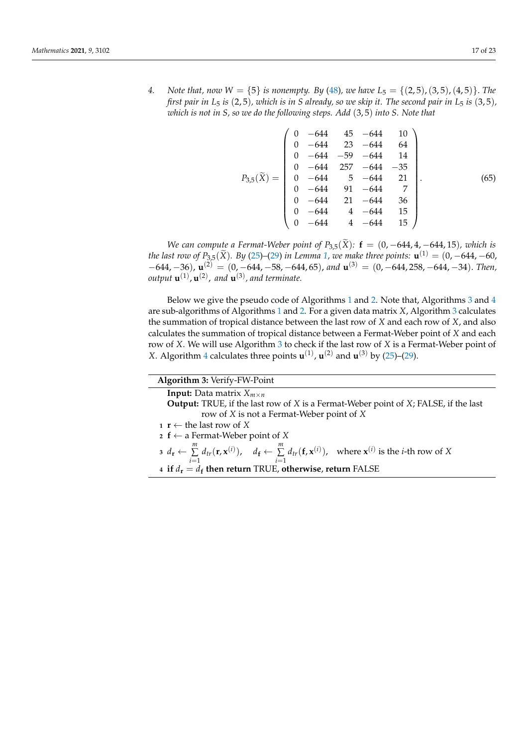*4. Note that, now*  $W = \{5\}$  *is nonempty. By* [\(48\)](#page-12-4)*, we have*  $L_5 = \{(2, 5), (3, 5), (4, 5)\}$ *. The first pair in*  $L_5$  *is* (2,5), which is in *S* already, so we skip it. The second pair in  $L_5$  *is* (3,5), *which is not in S, so we do the following steps. Add* (3, 5) *into S. Note that*

$$
P_{3,5}(\tilde{X}) = \begin{pmatrix} 0 & -644 & 45 & -644 & 10 \\ 0 & -644 & 23 & -644 & 64 \\ 0 & -644 & -59 & -644 & 14 \\ 0 & -644 & 257 & -644 & -35 \\ 0 & -644 & 5 & -644 & 21 \\ 0 & -644 & 91 & -644 & 7 \\ 0 & -644 & 21 & -644 & 36 \\ 0 & -644 & 4 & -644 & 15 \\ 0 & -644 & 4 & -644 & 15 \end{pmatrix}.
$$
 (65)

*We can compute a Fermat-Weber point of*  $P_{3,5}(\tilde{X})$ *:*  $f = (0, -644, 4, -644, 15)$ *, which is the last row of*  $P_{3,5}(\tilde{X})$ *. By* [\(25\)](#page-8-5)–[\(29\)](#page-8-6) *in Lemma* [1,](#page-8-2) *we make three points:*  $\mathbf{u}^{(1)} = (0, -644, -60, 0.01)$  $(1644, -36)$ , **u**<sup>(2)</sup> = (0, -644, -58, -644, 65), and **u**<sup>(3)</sup> = (0, -644, 258, -644, -34). *Then*, output  $\mathbf{u}^{(1)}$ ,  $\mathbf{u}^{(2)}$ , and  $\mathbf{u}^{(3)}$ , and terminate.

Below we give the pseudo code of Algorithms [1](#page-2-0) and [2.](#page-3-0) Note that, Algorithms [3](#page-16-0) and [4](#page-17-1) are sub-algorithms of Algorithms [1](#page-2-0) and [2.](#page-3-0) For a given data matrix *X*, Algorithm [3](#page-16-0) calculates the summation of tropical distance between the last row of *X* and each row of *X*, and also calculates the summation of tropical distance between a Fermat-Weber point of *X* and each row of *X*. We will use Algorithm [3](#page-16-0) to check if the last row of *X* is a Fermat-Weber point of *X*. Algorithm [4](#page-17-1) calculates three points  $\mathbf{u}^{(1)}$ ,  $\mathbf{u}^{(2)}$  and  $\mathbf{u}^{(3)}$  by [\(25\)](#page-8-5)–[\(29\)](#page-8-6).

<span id="page-16-0"></span>

| Algorithm 3: Verify-FW-Point                                                                                                                                                                                                   |
|--------------------------------------------------------------------------------------------------------------------------------------------------------------------------------------------------------------------------------|
| <b>Input:</b> Data matrix $X_{m \times n}$                                                                                                                                                                                     |
| <b>Output:</b> TRUE, if the last row of X is a Fermat-Weber point of X; FALSE, if the last                                                                                                                                     |
| row of X is not a Fermat-Weber point of X                                                                                                                                                                                      |
| $\mathbf{r} \leftarrow \text{the last row of } X$                                                                                                                                                                              |
| 2 f $\leftarrow$ a Fermat-Weber point of X                                                                                                                                                                                     |
| $a \cdot d_r \leftarrow \sum_{i=1}^m d_{tr}(\mathbf{r}, \mathbf{x}^{(i)}), \quad d_f \leftarrow \sum_{i=1}^m d_{tr}(\mathbf{f}, \mathbf{x}^{(i)}), \quad \text{where } \mathbf{x}^{(i)} \text{ is the } i\text{-th row of } X$ |
| 4 if $d_r = d_f$ then return TRUE, otherwise, return FALSE                                                                                                                                                                     |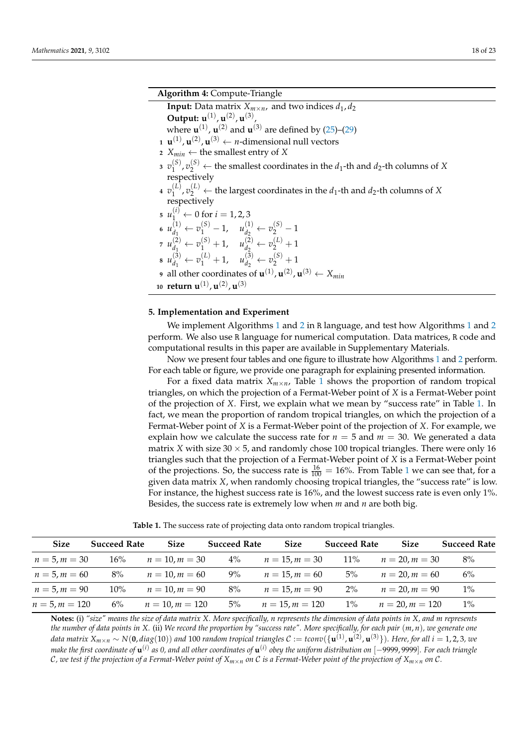<sup>2</sup> ← the smallest coordinates in the *d*1-th and *d*2-th columns of *X*

## **Algorithm 4:** Compute-Triangle

<span id="page-17-1"></span>

| <b>Input:</b> Data matrix $X_{m \times n}$ , and two indices $d_1, d_2$                                              |  |
|----------------------------------------------------------------------------------------------------------------------|--|
| <b>Output:</b> $u^{(1)}$ , $u^{(2)}$ , $u^{(3)}$                                                                     |  |
| where $\mathbf{u}^{(1)}$ , $\mathbf{u}^{(2)}$ and $\mathbf{u}^{(3)}$ are defined by (25)–(29)                        |  |
| $\mathbf{u}^{(1)}$ , $\mathbf{u}^{(2)}$ , $\mathbf{u}^{(3)} \leftarrow n$ -dimensional null vectors                  |  |
| 2 $X_{min} \leftarrow$ the smallest entry of X                                                                       |  |
| $v_1^{(S)}, v_2^{(S)} \leftarrow$ the smallest coordinates in the $d_1$ -th and $d_2$ -th columns of 2               |  |
| respectively                                                                                                         |  |
| $\mathfrak{p}_1(v_1^{(L)}, v_2^{(L)} \leftarrow$ the largest coordinates in the $d_1$ -th and $d_2$ -th columns of X |  |
| respectively                                                                                                         |  |
| $u_1^{(i)} \leftarrow 0$ for $i = 1, 2, 3$                                                                           |  |
| 6 $u_{d_1}^{(1)} \leftarrow v_1^{(S)} - 1$ , $u_{d_2}^{(1)} \leftarrow v_2^{(S)} - 1$                                |  |
| $v_1^{(2)} \leftarrow v_1^{(S)} + 1, \quad u_{d_2}^{(2)} \leftarrow v_2^{(L)} + 1$                                   |  |
| $u_{d_1}^{(3)} \leftarrow v_1^{(L)} + 1, \quad u_{d_2}^{(3)} \leftarrow v_2^{(S)} + 1$                               |  |
| 9 all other coordinates of $\mathbf{u}^{(1)}$ , $\mathbf{u}^{(2)}$ , $\mathbf{u}^{(3)} \leftarrow X_{min}$           |  |
| 10 return $\mathbf{u}^{(1)}$ , $\mathbf{u}^{(2)}$ , $\mathbf{u}^{(3)}$                                               |  |

#### <span id="page-17-0"></span>**5. Implementation and Experiment**

We implement Algorithms [1](#page-2-0) and [2](#page-3-0) in R language, and test how Algorithms [1](#page-2-0) and [2](#page-3-0) perform. We also use R language for numerical computation. Data matrices, R code and computational results in this paper are available in Supplementary Materials.

Now we present four tables and one figure to illustrate how Algorithms [1](#page-2-0) and [2](#page-3-0) perform. For each table or figure, we provide one paragraph for explaining presented information.

For a fixed data matrix  $X_{m \times n}$ , Table [1](#page-17-2) shows the proportion of random tropical triangles, on which the projection of a Fermat-Weber point of *X* is a Fermat-Weber point of the projection of *X*. First, we explain what we mean by "success rate" in Table [1.](#page-17-2) In fact, we mean the proportion of random tropical triangles, on which the projection of a Fermat-Weber point of *X* is a Fermat-Weber point of the projection of *X*. For example, we explain how we calculate the success rate for  $n = 5$  and  $m = 30$ . We generated a data matrix *X* with size  $30 \times 5$ , and randomly chose 100 tropical triangles. There were only 16 triangles such that the projection of a Fermat-Weber point of *X* is a Fermat-Weber point of the projections. So, the success rate is  $\frac{16}{100} = 16\%$  $\frac{16}{100} = 16\%$  $\frac{16}{100} = 16\%$ . From Table 1 we can see that, for a given data matrix *X*, when randomly choosing tropical triangles, the "success rate" is low. For instance, the highest success rate is 16%, and the lowest success rate is even only 1%. Besides, the success rate is extremely low when *m* and *n* are both big.

**Table 1.** The success rate of projecting data onto random tropical triangles.

<span id="page-17-2"></span>

| <b>Size</b>      | <b>Succeed Rate</b> | <b>Size</b>       | <b>Succeed Rate</b> | <b>Size</b>       | <b>Succeed Rate</b> | <b>Size</b>         | <b>Succeed Rate</b> |
|------------------|---------------------|-------------------|---------------------|-------------------|---------------------|---------------------|---------------------|
| $n = 5, m = 30$  | $16\%$              | $n = 10, m = 30$  | $4\%$               | $n = 15, m = 30$  | $11\%$              | $n = 20$ , $m = 30$ | 8%                  |
| $n = 5, m = 60$  | 8%                  | $n = 10, m = 60$  | 9%                  | $n = 15, m = 60$  | 5%                  | $n = 20$ , $m = 60$ | 6%                  |
| $n = 5, m = 90$  | $10\%$              | $n = 10, m = 90$  | 8%                  | $n = 15, m = 90$  | $2\%$               | $n = 20, m = 90$    | $1\%$               |
| $n = 5, m = 120$ | $6\%$               | $n = 10, m = 120$ | 5%                  | $n = 15, m = 120$ | $1\%$               | $n = 20, m = 120$   | $1\%$               |

**Notes:** (i) *"size" means the size of data matrix X. More specifically, n represents the dimension of data points in X, and m represents the number of data points in X.* (ii) *We record the proportion by "success rate". More specifically, for each pair* (*m*, *n*)*, we generate one* data matrix  $X_{m\times n}\sim N({\bf 0},diag(10))$  and  $100$  random tropical triangles  ${\cal C}:=toov(\{{\bf u}^{(1)},{\bf u}^{(2)},{\bf u}^{(3)}\}).$  Here, for all  $i=1,2,3$ , we *make the first coordinate of*  $\bf u^{(i)}$  *as 0, and all other coordinates of*  $\bf u^{(i)}$  *obey the uniform distribution on [−9999,9999]. For each triangle* C*, we test if the projection of a Fermat-Weber point of Xm*×*<sup>n</sup> on* C *is a Fermat-Weber point of the projection of Xm*×*<sup>n</sup> on* C*.*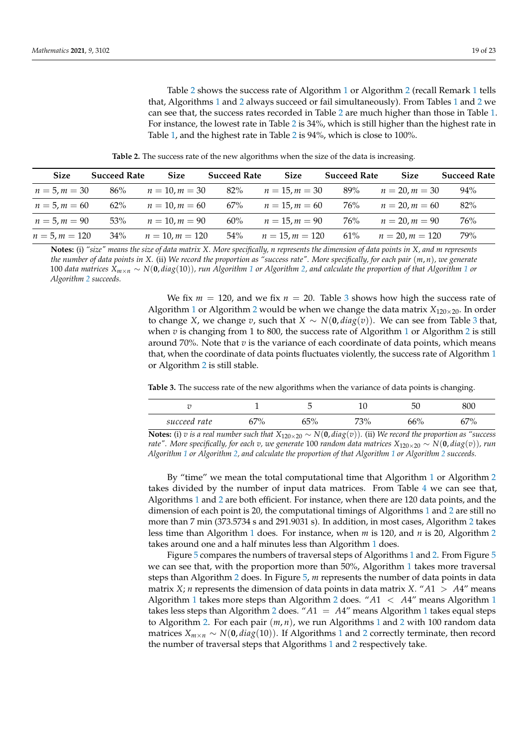Table [2](#page-18-0) shows the success rate of Algorithm [1](#page-2-0) or Algorithm [2](#page-3-0) (recall Remark [1](#page-11-2) tells that, Algorithms [1](#page-2-0) and [2](#page-3-0) always succeed or fail simultaneously). From Tables [1](#page-17-2) and [2](#page-18-0) we can see that, the success rates recorded in Table [2](#page-18-0) are much higher than those in Table [1.](#page-17-2) For instance, the lowest rate in Table [2](#page-18-0) is 34%, which is still higher than the highest rate in Table [1,](#page-17-2) and the highest rate in Table [2](#page-18-0) is 94%, which is close to 100%.

**Table 2.** The success rate of the new algorithms when the size of the data is increasing.

<span id="page-18-0"></span>

| <b>Size</b>      | <b>Succeed Rate</b> | <b>Size</b>       | <b>Succeed Rate</b> | <b>Size</b>       | <b>Succeed Rate</b> | <b>Size</b>         | <b>Succeed Rate</b> |
|------------------|---------------------|-------------------|---------------------|-------------------|---------------------|---------------------|---------------------|
| $n = 5, m = 30$  | 86%                 | $n = 10, m = 30$  | 82%                 | $n = 15, m = 30$  | 89%                 | $n = 20$ , $m = 30$ | 94%                 |
| $n = 5, m = 60$  | $62\%$              | $n = 10, m = 60$  | 67%                 | $n = 15, m = 60$  | 76%                 | $n = 20, m = 60$    | 82%                 |
| $n = 5, m = 90$  | 53%                 | $n = 10, m = 90$  | 60%                 | $n = 15, m = 90$  | 76%                 | $n = 20, m = 90$    | 76%                 |
| $n = 5, m = 120$ | $34\%$              | $n = 10, m = 120$ | 54%                 | $n = 15, m = 120$ | 61%                 | $n = 20, m = 120$   | 79%                 |

**Notes:** (i) *"size" means the size of data matrix X. More specifically, n represents the dimension of data points in X, and m represents the number of data points in X.* (ii) *We record the proportion as "success rate". More specifically, for each pair* (*m*, *n*)*, we generate* 100 *data matrices Xm*×*<sup>n</sup>* ∼ *N*(**0**, *diag*(10))*, run Algorithm [1](#page-2-0) or Algorithm [2,](#page-3-0) and calculate the proportion of that Algorithm [1](#page-2-0) or Algorithm [2](#page-3-0) succeeds.*

> We fix  $m = 120$ , and we fix  $n = 20$ . Table [3](#page-18-1) shows how high the success rate of Algorithm [1](#page-2-0) or Algorithm [2](#page-3-0) would be when we change the data matrix  $X_{120\times20}$ . In order to change *X*, we change *v*, such that *X* ∼ *N*( $\mathbf{0}, diag(v)$ ). We can see from Table [3](#page-18-1) that, when *v* is changing from [1](#page-2-0) to 800, the success rate of Algorithm 1 or Algorithm [2](#page-3-0) is still around 70%. Note that *v* is the variance of each coordinate of data points, which means that, when the coordinate of data points fluctuates violently, the success rate of Algorithm [1](#page-2-0) or Algorithm [2](#page-3-0) is still stable.

<span id="page-18-1"></span>**Table 3.** The success rate of the new algorithms when the variance of data points is changing.

|              |                              | ◡             | τc  | 50  | 800                          |
|--------------|------------------------------|---------------|-----|-----|------------------------------|
| succeed rate | .70 <sub>1</sub><br>70<br>J1 | 650/<br>OO 70 | 73% | 66% | .70 <sub>o</sub><br>70<br>J7 |

**Notes:** (i) *v* is a real number such that  $X_{120×20}$  ∼  $N($ **0**,  $diag(v)$ ). (ii) We record the proportion as "success *rate". More specifically, for each v, we generate* 100 *random data matrices*  $X_{120\times20} \sim N(\mathbf{0}, diag(v))$ *, run Algorithm [1](#page-2-0) or Algorithm [2,](#page-3-0) and calculate the proportion of that Algorithm [1](#page-2-0) or Algorithm [2](#page-3-0) succeeds.*

By "time" we mean the total computational time that Algorithm [1](#page-2-0) or Algorithm [2](#page-3-0) takes divided by the number of input data matrices. From Table [4](#page-20-0) we can see that, Algorithms [1](#page-2-0) and [2](#page-3-0) are both efficient. For instance, when there are 120 data points, and the dimension of each point is 20, the computational timings of Algorithms [1](#page-2-0) and [2](#page-3-0) are still no more than 7 min (373.5734 s and 291.9031 s). In addition, in most cases, Algorithm [2](#page-3-0) takes less time than Algorithm [1](#page-2-0) does. For instance, when *m* is 120, and *n* is 20, Algorithm [2](#page-3-0) takes around one and a half minutes less than Algorithm [1](#page-2-0) does.

Figure [5](#page-19-0) compares the numbers of traversal steps of Algorithms [1](#page-2-0) and [2.](#page-3-0) From Figure [5](#page-19-0) we can see that, with the proportion more than 50%, Algorithm [1](#page-2-0) takes more traversal steps than Algorithm [2](#page-3-0) does. In Figure [5,](#page-19-0) *m* represents the number of data points in data matrix *X*; *n* represents the dimension of data points in data matrix *X*. " $A1 > A4$ " means Algorithm [1](#page-2-0) takes more steps than Algorithm [2](#page-3-0) does. "*A*1 < *A*4" means Algorithm [1](#page-2-0) takes less steps than Algorithm [2](#page-3-0) does. " $A1 = A4$  $A1 = A4$  $A1 = A4$ " means Algorithm 1 takes equal steps to Algorithm [2.](#page-3-0) For each pair (*m*, *n*), we run Algorithms [1](#page-2-0) and [2](#page-3-0) with 100 random data matrices  $X_{m\times n} \sim N(0, diag(10))$  $X_{m\times n} \sim N(0, diag(10))$  $X_{m\times n} \sim N(0, diag(10))$ . If Algorithms 1 and [2](#page-3-0) correctly terminate, then record the number of traversal steps that Algorithms [1](#page-2-0) and [2](#page-3-0) respectively take.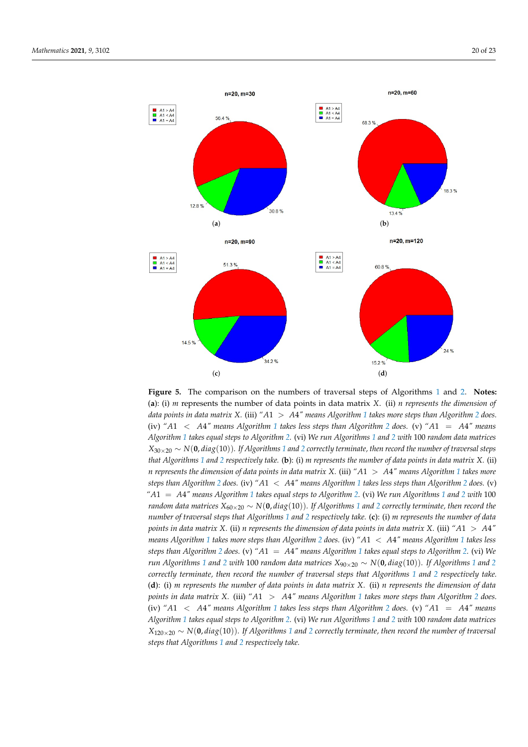<span id="page-19-0"></span>

**Figure 5.** The comparison on the numbers of traversal steps of Algorithms [1](#page-2-0) and [2.](#page-3-0) **Notes:** (**a**): (i) *m* represents the number of data points in data matrix *X*. (ii) *n represents the dimension of data points in data matrix X.* (iii) *"A*1 > *A*4*" means Algorithm [1](#page-2-0) takes more steps than Algorithm [2](#page-3-0) does.* (iv) *"A*1 < *A*4*" means Algorithm [1](#page-2-0) takes less steps than Algorithm [2](#page-3-0) does.* (v) *"A*1 = *A*4*" means Algorithm [1](#page-2-0) takes equal steps to Algorithm [2.](#page-3-0)* (vi) *We run Algorithms [1](#page-2-0) and [2](#page-3-0) with* 100 *random data matrices*  $X_{30\times20} \sim N(0, diag(10))$  $X_{30\times20} \sim N(0, diag(10))$  $X_{30\times20} \sim N(0, diag(10))$ *. If Algorithms* 1 *and* [2](#page-3-0) *correctly terminate, then record the number of traversal steps that Algorithms [1](#page-2-0) and [2](#page-3-0) respectively take.* (**b**): (i) *m represents the number of data points in data matrix X.* (ii) *n represents the dimension of data points in data matrix X.* (iii) *"A*1 > *A*4*" means Algorithm [1](#page-2-0) takes more steps than Algorithm [2](#page-3-0) does.* (iv) *"A*1 < *A*4*" means Algorithm [1](#page-2-0) takes less steps than Algorithm [2](#page-3-0) does.* (v) *"A*1 = *A*4*" means Algorithm [1](#page-2-0) takes equal steps to Algorithm [2.](#page-3-0)* (vi) *We run Algorithms [1](#page-2-0) and [2](#page-3-0) with* 100 *random data matrices*  $X_{60\times20} \sim N(0, diag(10))$  $X_{60\times20} \sim N(0, diag(10))$  $X_{60\times20} \sim N(0, diag(10))$ . If Algorithms 1 and [2](#page-3-0) correctly terminate, then record the *number of traversal steps that Algorithms [1](#page-2-0) and [2](#page-3-0) respectively take.* (**c**): (i) *m represents the number of data points in data matrix X.* (ii) *n represents the dimension of data points in data matrix X.* (iii) *"A*1 > *A*4*" means Algorithm [1](#page-2-0) takes more steps than Algorithm [2](#page-3-0) does.* (iv) *"A*1 < *A*4*" means Algorithm [1](#page-2-0) takes less steps than Algorithm [2](#page-3-0) does.* (v) *"A*1 = *A*4*" means Algorithm [1](#page-2-0) takes equal steps to Algorithm [2.](#page-3-0)* (vi) *We run Algorithms* [1](#page-2-0) *and* [2](#page-3-0) *with* 100 *random data matrices*  $X_{90\times20} \sim N(0, diag(10))$ *. If Algorithms* 1 *and* 2 *correctly terminate, then record the number of traversal steps that Algorithms [1](#page-2-0) and [2](#page-3-0) respectively take.* (**d**): (i) *m represents the number of data points in data matrix X.* (ii) *n represents the dimension of data points in data matrix X.* (iii) *"A*1 > *A*4*" means Algorithm [1](#page-2-0) takes more steps than Algorithm [2](#page-3-0) does.* (iv) *"A*1 < *A*4*" means Algorithm [1](#page-2-0) takes less steps than Algorithm [2](#page-3-0) does.* (v) *"A*1 = *A*4*" means Algorithm [1](#page-2-0) takes equal steps to Algorithm [2.](#page-3-0)* (vi) *We run Algorithms [1](#page-2-0) and [2](#page-3-0) with* 100 *random data matrices X*120×<sup>20</sup> ∼ *N*(**0**, *diag*(10))*. If Algorithms [1](#page-2-0) and [2](#page-3-0) correctly terminate, then record the number of traversal steps that Algorithms [1](#page-2-0) and [2](#page-3-0) respectively take.*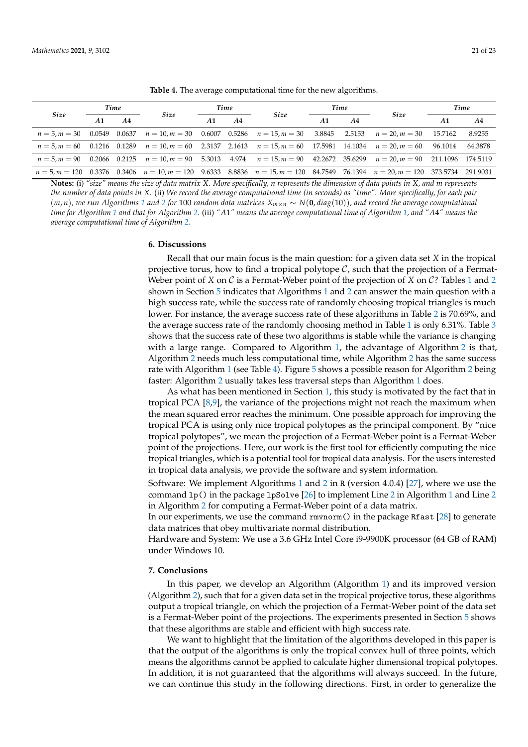<span id="page-20-0"></span>

| Size | Time |    |                                                                                                                                      | Time |                |      | Time |                |      | Time    |         |
|------|------|----|--------------------------------------------------------------------------------------------------------------------------------------|------|----------------|------|------|----------------|------|---------|---------|
|      | A1   | A4 | Size                                                                                                                                 | A1   | A <sub>4</sub> | Size | A1   | A <sub>4</sub> | Size | A1      | A4      |
|      |      |    | $n = 5, m = 30$ 0.0549 0.0637 $n = 10, m = 30$ 0.6007 0.5286 $n = 15, m = 30$ 3.8845 2.5153 $n = 20, m = 30$                         |      |                |      |      |                |      | 15.7162 | 8.9255  |
|      |      |    | $n = 5, m = 60$ 0.1216 0.1289 $n = 10, m = 60$ 2.3137 2.1613 $n = 15, m = 60$ 17.5981 14.1034 $n = 20, m = 60$ 96.1014               |      |                |      |      |                |      |         | 64.3878 |
|      |      |    | $n = 5, m = 90$ 0.2066 0.2125 $n = 10, m = 90$ 5.3013 4.974 $n = 15, m = 90$ 42.2672 35.6299 $n = 20, m = 90$ 211.1096 174.5119      |      |                |      |      |                |      |         |         |
|      |      |    | $n = 5, m = 120$ 0.3376 0.3406 $n = 10, m = 120$ 9.6333 8.8836 $n = 15, m = 120$ 84.7549 76.1394 $n = 20, m = 120$ 373.5734 291.9031 |      |                |      |      |                |      |         |         |

**Table 4.** The average computational time for the new algorithms.

**Notes:** (i) *"size" means the size of data matrix X. More specifically, n represents the dimension of data points in X, and m represents the number of data points in X.* (ii) *We record the average computational time (in seconds) as "time". More specifically, for each pair*  $(m, n)$ , we run Algorithms [1](#page-2-0) and [2](#page-3-0) for 100 random data matrices  $X_{m \times n} \sim N(0, diag(10))$ , and record the average computational *time for Algorithm [1](#page-2-0) and that for Algorithm [2.](#page-3-0)* (iii) *"A*1*" means the average computational time of Algorithm [1,](#page-2-0) and "A*4*" means the average computational time of Algorithm [2.](#page-3-0)*

## **6. Discussions**

Recall that our main focus is the main question: for a given data set *X* in the tropical projective torus, how to find a tropical polytope  $C$ , such that the projection of a Fermat-Weber point of *X* on C is a Fermat-Weber point of the projection of *X* on C? Tables [1](#page-17-2) and [2](#page-18-0) shown in Section [5](#page-17-0) indicates that Algorithms [1](#page-2-0) and [2](#page-3-0) can answer the main question with a high success rate, while the success rate of randomly choosing tropical triangles is much lower. For instance, the average success rate of these algorithms in Table [2](#page-18-0) is 70.69%, and the average success rate of the randomly choosing method in Table [1](#page-17-2) is only 6.31%. Table [3](#page-18-1) shows that the success rate of these two algorithms is stable while the variance is changing with a large range. Compared to Algorithm [1,](#page-2-0) the advantage of Algorithm [2](#page-3-0) is that, Algorithm [2](#page-3-0) needs much less computational time, while Algorithm [2](#page-3-0) has the same success rate with Algorithm [1](#page-2-0) (see Table [4\)](#page-20-0). Figure [5](#page-19-0) shows a possible reason for Algorithm [2](#page-3-0) being faster: Algorithm [2](#page-3-0) usually takes less traversal steps than Algorithm [1](#page-2-0) does.

As what has been mentioned in Section [1,](#page-0-0) this study is motivated by the fact that in tropical PCA [\[8,](#page-21-7)[9\]](#page-21-8), the variance of the projections might not reach the maximum when the mean squared error reaches the minimum. One possible approach for improving the tropical PCA is using only nice tropical polytopes as the principal component. By "nice tropical polytopes", we mean the projection of a Fermat-Weber point is a Fermat-Weber point of the projections. Here, our work is the first tool for efficiently computing the nice tropical triangles, which is a potential tool for tropical data analysis. For the users interested in tropical data analysis, we provide the software and system information.

Software: We implement Algorithms [1](#page-2-0) and [2](#page-3-0) in R (version 4.0.4) [\[27\]](#page-22-6), where we use the command lp() in the package lpSolve [\[26\]](#page-22-5) to implement Line [2](#page-2-1) in Algorithm [1](#page-2-0) and Line [2](#page-3-4) in Algorithm [2](#page-3-0) for computing a Fermat-Weber point of a data matrix.

In our experiments, we use the command rmvnorm() in the package Rfast [\[28\]](#page-22-7) to generate data matrices that obey multivariate normal distribution.

Hardware and System: We use a 3.6 GHz Intel Core i9-9900K processor (64 GB of RAM) under Windows 10.

## **7. Conclusions**

In this paper, we develop an Algorithm (Algorithm [1\)](#page-2-0) and its improved version (Algorithm [2\)](#page-3-0), such that for a given data set in the tropical projective torus, these algorithms output a tropical triangle, on which the projection of a Fermat-Weber point of the data set is a Fermat-Weber point of the projections. The experiments presented in Section [5](#page-17-0) shows that these algorithms are stable and efficient with high success rate.

We want to highlight that the limitation of the algorithms developed in this paper is that the output of the algorithms is only the tropical convex hull of three points, which means the algorithms cannot be applied to calculate higher dimensional tropical polytopes. In addition, it is not guaranteed that the algorithms will always succeed. In the future, we can continue this study in the following directions. First, in order to generalize the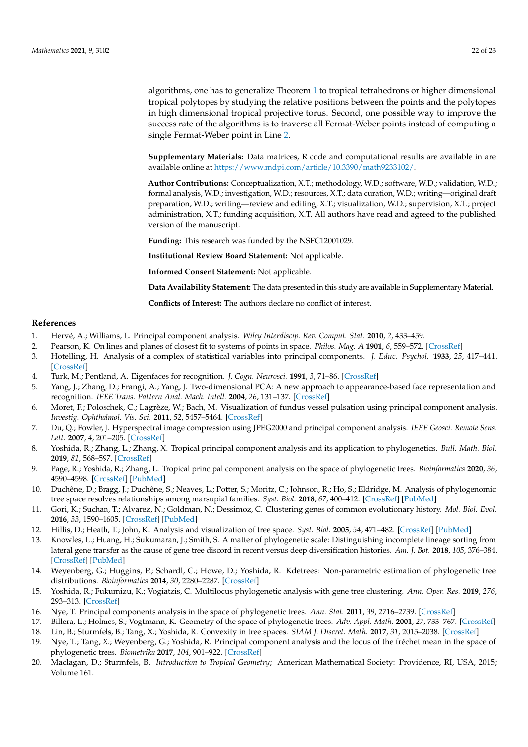algorithms, one has to generalize Theorem [1](#page-10-0) to tropical tetrahedrons or higher dimensional tropical polytopes by studying the relative positions between the points and the polytopes in high dimensional tropical projective torus. Second, one possible way to improve the success rate of the algorithms is to traverse all Fermat-Weber points instead of computing a single Fermat-Weber point in Line [2.](#page-3-4)

**Supplementary Materials:** Data matrices, R code and computational results are available in are available online at [https://www.mdpi.com/article/10.3390/math9233102/.](https://www.mdpi.com/article/10.3390/math9233102/)

**Author Contributions:** Conceptualization, X.T.; methodology, W.D.; software, W.D.; validation, W.D.; formal analysis, W.D.; investigation, W.D.; resources, X.T.; data curation, W.D.; writing—original draft preparation, W.D.; writing—review and editing, X.T.; visualization, W.D.; supervision, X.T.; project administration, X.T.; funding acquisition, X.T. All authors have read and agreed to the published version of the manuscript.

**Funding:** This research was funded by the NSFC12001029.

**Institutional Review Board Statement:** Not applicable.

**Informed Consent Statement:** Not applicable.

**Data Availability Statement:** The data presented in this study are available in Supplementary Material.

**Conflicts of Interest:** The authors declare no conflict of interest.

#### **References**

- <span id="page-21-0"></span>1. Hervé, A.; Williams, L. Principal component analysis. *Wiley Interdiscip. Rev. Comput. Stat.* **2010**, *2*, 433–459.
- <span id="page-21-1"></span>2. Pearson, K. On lines and planes of closest fit to systems of points in space. *Philos. Mag. A* **1901**, *6*, 559–572. [\[CrossRef\]](http://doi.org/10.1080/14786440109462720)
- <span id="page-21-2"></span>3. Hotelling, H. Analysis of a complex of statistical variables into principal components. *J. Educ. Psychol.* **1933**, *25*, 417–441. [\[CrossRef\]](http://dx.doi.org/10.1037/h0071325)
- <span id="page-21-3"></span>4. Turk, M.; Pentland, A. Eigenfaces for recognition. *J. Cogn. Neurosci.* **1991**, *3*, 71–86. [\[CrossRef\]](http://dx.doi.org/10.1162/jocn.1991.3.1.71)
- <span id="page-21-4"></span>5. Yang, J.; Zhang, D.; Frangi, A.; Yang, J. Two-dimensional PCA: A new approach to appearance-based face representation and recognition. *IEEE Trans. Pattern Anal. Mach. Intell.* **2004**, *26*, 131–137. [\[CrossRef\]](http://dx.doi.org/10.1109/TPAMI.2004.1261097)
- <span id="page-21-5"></span>6. Moret, F.; Poloschek, C.; Lagrèze, W.; Bach, M. Visualization of fundus vessel pulsation using principal component analysis. *Investig. Ophthalmol. Vis. Sci.* **2011**, *52*, 5457–5464. [\[CrossRef\]](http://dx.doi.org/10.1167/iovs.10-6806)
- <span id="page-21-6"></span>7. Du, Q.; Fowler, J. Hyperspectral image compression using JPEG2000 and principal component analysis. *IEEE Geosci. Remote Sens. Lett.* **2007**, *4*, 201–205. [\[CrossRef\]](http://dx.doi.org/10.1109/LGRS.2006.888109)
- <span id="page-21-7"></span>8. Yoshida, R.; Zhang, L.; Zhang, X. Tropical principal component analysis and its application to phylogenetics. *Bull. Math. Biol.* **2019**, *81*, 568–597. [\[CrossRef\]](http://dx.doi.org/10.1007/s11538-018-0493-4)
- <span id="page-21-8"></span>9. Page, R.; Yoshida, R.; Zhang, L. Tropical principal component analysis on the space of phylogenetic trees. *Bioinformatics* **2020**, *36*, 4590–4598. [\[CrossRef\]](http://dx.doi.org/10.1093/bioinformatics/btaa564) [\[PubMed\]](http://www.ncbi.nlm.nih.gov/pubmed/32516398)
- <span id="page-21-9"></span>10. Duchêne, D.; Bragg, J.; Duchêne, S.; Neaves, L.; Potter, S.; Moritz, C.; Johnson, R.; Ho, S.; Eldridge, M. Analysis of phylogenomic tree space resolves relationships among marsupial families. *Syst. Biol.* **2018**, *67*, 400–412. [\[CrossRef\]](http://dx.doi.org/10.1093/sysbio/syx076) [\[PubMed\]](http://www.ncbi.nlm.nih.gov/pubmed/29029231)
- 11. Gori, K.; Suchan, T.; Alvarez, N.; Goldman, N.; Dessimoz, C. Clustering genes of common evolutionary history. *Mol. Biol. Evol.* **2016**, *33*, 1590–1605. [\[CrossRef\]](http://dx.doi.org/10.1093/molbev/msw038) [\[PubMed\]](http://www.ncbi.nlm.nih.gov/pubmed/26893301)
- 12. Hillis, D.; Heath, T.; John, K. Analysis and visualization of tree space. *Syst. Biol.* **2005**, *54*, 471–482. [\[CrossRef\]](http://dx.doi.org/10.1080/10635150590946961) [\[PubMed\]](http://www.ncbi.nlm.nih.gov/pubmed/16012112)
- 13. Knowles, L.; Huang, H.; Sukumaran, J.; Smith, S. A matter of phylogenetic scale: Distinguishing incomplete lineage sorting from lateral gene transfer as the cause of gene tree discord in recent versus deep diversification histories. *Am. J. Bot.* **2018**, *105*, 376–384. [\[CrossRef\]](http://dx.doi.org/10.1002/ajb2.1064) [\[PubMed\]](http://www.ncbi.nlm.nih.gov/pubmed/29710372)
- 14. Weyenberg, G.; Huggins, P.; Schardl, C.; Howe, D.; Yoshida, R. Kdetrees: Non-parametric estimation of phylogenetic tree distributions. *Bioinformatics* **2014**, *30*, 2280–2287. [\[CrossRef\]](http://dx.doi.org/10.1093/bioinformatics/btu258)
- <span id="page-21-10"></span>15. Yoshida, R.; Fukumizu, K.; Vogiatzis, C. Multilocus phylogenetic analysis with gene tree clustering. *Ann. Oper. Res.* **2019**, *276*, 293–313. [\[CrossRef\]](http://dx.doi.org/10.1007/s10479-017-2456-9)
- <span id="page-21-11"></span>16. Nye, T. Principal components analysis in the space of phylogenetic trees. *Ann. Stat.* **2011**, *39*, 2716–2739. [\[CrossRef\]](http://dx.doi.org/10.1214/11-AOS915)
- <span id="page-21-12"></span>17. Billera, L.; Holmes, S.; Vogtmann, K. Geometry of the space of phylogenetic trees. *Adv. Appl. Math.* **2001**, *27*, 733–767. [\[CrossRef\]](http://dx.doi.org/10.1006/aama.2001.0759)
- <span id="page-21-13"></span>18. Lin, B.; Sturmfels, B.; Tang, X.; Yoshida, R. Convexity in tree spaces. *SIAM J. Discret. Math.* **2017**, *31*, 2015–2038. [\[CrossRef\]](http://dx.doi.org/10.1137/16M1079841)
- <span id="page-21-14"></span>19. Nye, T.; Tang, X.; Weyenberg, G.; Yoshida, R. Principal component analysis and the locus of the fréchet mean in the space of phylogenetic trees. *Biometrika* **2017**, *104*, 901–922. [\[CrossRef\]](http://dx.doi.org/10.1093/biomet/asx047)
- <span id="page-21-15"></span>20. Maclagan, D.; Sturmfels, B. *Introduction to Tropical Geometry*; American Mathematical Society: Providence, RI, USA, 2015; Volume 161.